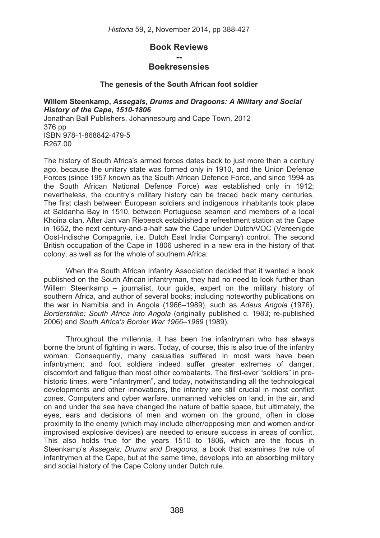# **Book Reviews**

# **-- Boekresensies**

# **The genesis of the South African foot soldier**

**Willem Steenkamp,** *Assegais, Drums and Dragoons: A Military and Social History of the Cape, 1510-1806*  Jonathan Ball Publishers, Johannesburg and Cape Town, 2012 376 pp ISBN 978-1-868842-479-5 R267.00

The history of South Africa's armed forces dates back to just more than a century ago, because the unitary state was formed only in 1910, and the Union Defence Forces (since 1957 known as the South African Defence Force, and since 1994 as the South African National Defence Force) was established only in 1912; nevertheless, the country's military history can be traced back many centuries. The first clash between European soldiers and indigenous inhabitants took place at Saldanha Bay in 1510, between Portuguese seamen and members of a local Khoina clan. After Jan van Riebeeck established a refreshment station at the Cape in 1652, the next century-and-a-half saw the Cape under Dutch/VOC (Vereenigde Oost-Indische Compagnie, i.e. Dutch East India Company) control. The second British occupation of the Cape in 1806 ushered in a new era in the history of that colony, as well as for the whole of southern Africa.

When the South African Infantry Association decided that it wanted a book published on the South African infantryman, they had no need to look further than Willem Steenkamp – journalist, tour guide, expert on the military history of southern Africa, and author of several books; including noteworthy publications on the war in Namibia and in Angola (1966–1989), such as *Adeus Angola* (1976), *Borderstrike: South Africa into Angola* (originally published c. 1983; re-published 2006) and *South Africa's Border War 1966*–*1989* (1989).

 Throughout the millennia, it has been the infantryman who has always borne the brunt of fighting in wars. Today, of course, this is also true of the infantry woman. Consequently, many casualties suffered in most wars have been infantrymen; and foot soldiers indeed suffer greater extremes of danger, discomfort and fatigue than most other combatants. The first-ever "soldiers" in prehistoric times, were "infantrymen", and today, notwithstanding all the technological developments and other innovations, the infantry are still crucial in most conflict zones. Computers and cyber warfare, unmanned vehicles on land, in the air, and on and under the sea have changed the nature of battle space, but ultimately, the eyes, ears and decisions of men and women on the ground, often in close proximity to the enemy (which may include other/opposing men and women and/or improvised explosive devices) are needed to ensure success in areas of conflict. This also holds true for the years 1510 to 1806, which are the focus in Steenkamp's *Assegais, Drums and Dragoons,* a book that examines the role of infantrymen at the Cape, but at the same time, develops into an absorbing military and social history of the Cape Colony under Dutch rule.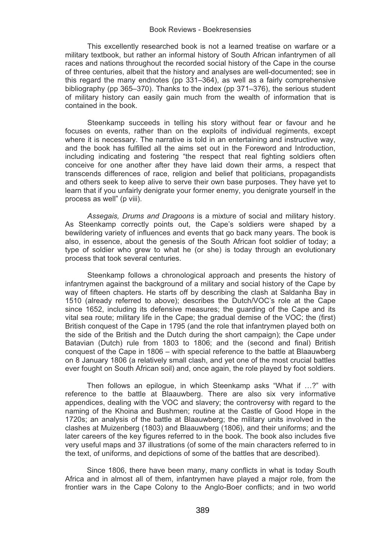This excellently researched book is not a learned treatise on warfare or a military textbook, but rather an informal history of South African infantrymen of all races and nations throughout the recorded social history of the Cape in the course of three centuries, albeit that the history and analyses are well-documented; see in this regard the many endnotes (pp 331–364), as well as a fairly comprehensive bibliography (pp 365–370). Thanks to the index (pp 371–376), the serious student of military history can easily gain much from the wealth of information that is contained in the book.

 Steenkamp succeeds in telling his story without fear or favour and he focuses on events, rather than on the exploits of individual regiments, except where it is necessary. The narrative is told in an entertaining and instructive way, and the book has fulfilled all the aims set out in the Foreword and Introduction, including indicating and fostering "the respect that real fighting soldiers often conceive for one another after they have laid down their arms, a respect that transcends differences of race, religion and belief that politicians, propagandists and others seek to keep alive to serve their own base purposes. They have yet to learn that if you unfairly denigrate your former enemy, you denigrate yourself in the process as well" (p viii).

*Assegais, Drums and Dragoons* is a mixture of social and military history. As Steenkamp correctly points out, the Cape's soldiers were shaped by a bewildering variety of influences and events that go back many years. The book is also, in essence, about the genesis of the South African foot soldier of today; a type of soldier who grew to what he (or she) is today through an evolutionary process that took several centuries.

 Steenkamp follows a chronological approach and presents the history of infantrymen against the background of a military and social history of the Cape by way of fifteen chapters. He starts off by describing the clash at Saldanha Bay in 1510 (already referred to above); describes the Dutch/VOC's role at the Cape since 1652, including its defensive measures; the guarding of the Cape and its vital sea route; military life in the Cape; the gradual demise of the VOC; the (first) British conquest of the Cape in 1795 (and the role that infantrymen played both on the side of the British and the Dutch during the short campaign); the Cape under Batavian (Dutch) rule from 1803 to 1806; and the (second and final) British conquest of the Cape in 1806 – with special reference to the battle at Blaauwberg on 8 January 1806 (a relatively small clash, and yet one of the most crucial battles ever fought on South African soil) and, once again, the role played by foot soldiers.

Then follows an epilogue, in which Steenkamp asks "What if …?" with reference to the battle at Blaauwberg. There are also six very informative appendices, dealing with the VOC and slavery; the controversy with regard to the naming of the Khoina and Bushmen; routine at the Castle of Good Hope in the 1720s; an analysis of the battle at Blaauwberg; the military units involved in the clashes at Muizenberg (1803) and Blaauwberg (1806), and their uniforms; and the later careers of the key figures referred to in the book. The book also includes five very useful maps and 37 illustrations (of some of the main characters referred to in the text, of uniforms, and depictions of some of the battles that are described).

Since 1806, there have been many, many conflicts in what is today South Africa and in almost all of them, infantrymen have played a major role, from the frontier wars in the Cape Colony to the Anglo-Boer conflicts; and in two world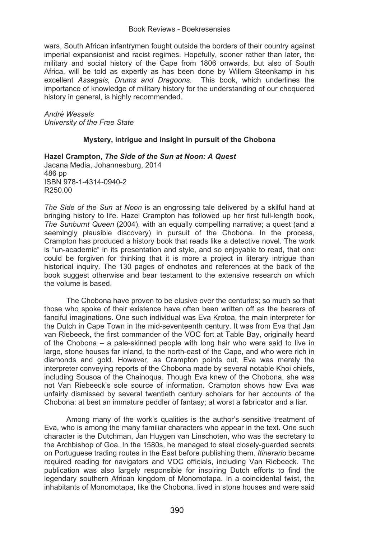wars, South African infantrymen fought outside the borders of their country against imperial expansionist and racist regimes. Hopefully, sooner rather than later, the military and social history of the Cape from 1806 onwards, but also of South Africa, will be told as expertly as has been done by Willem Steenkamp in his excellent *Assegais, Drums and Dragoons*. This book, which underlines the importance of knowledge of military history for the understanding of our chequered history in general, is highly recommended.

*André Wessels University of the Free State*

# **Mystery, intrigue and insight in pursuit of the Chobona**

**Hazel Crampton,** *The Side of the Sun at Noon: A Quest*  Jacana Media, Johannesburg, 2014 486 pp ISBN 978-1-4314-0940-2 R250.00

*The Side of the Sun at Noon* is an engrossing tale delivered by a skilful hand at bringing history to life. Hazel Crampton has followed up her first full-length book, *The Sunburnt Queen* (2004), with an equally compelling narrative; a quest (and a seemingly plausible discovery) in pursuit of the Chobona. In the process, Crampton has produced a history book that reads like a detective novel. The work is "un-academic" in its presentation and style, and so enjoyable to read, that one could be forgiven for thinking that it is more a project in literary intrigue than historical inquiry. The 130 pages of endnotes and references at the back of the book suggest otherwise and bear testament to the extensive research on which the volume is based.

 The Chobona have proven to be elusive over the centuries; so much so that those who spoke of their existence have often been written off as the bearers of fanciful imaginations. One such individual was Eva Krotoa, the main interpreter for the Dutch in Cape Town in the mid-seventeenth century. It was from Eva that Jan van Riebeeck, the first commander of the VOC fort at Table Bay, originally heard of the Chobona – a pale-skinned people with long hair who were said to live in large, stone houses far inland, to the north-east of the Cape, and who were rich in diamonds and gold. However, as Crampton points out, Eva was merely the interpreter conveying reports of the Chobona made by several notable Khoi chiefs, including Sousoa of the Chainoqua. Though Eva knew of the Chobona, she was not Van Riebeeck's sole source of information. Crampton shows how Eva was unfairly dismissed by several twentieth century scholars for her accounts of the Chobona: at best an immature peddler of fantasy; at worst a fabricator and a liar.

Among many of the work's qualities is the author's sensitive treatment of Eva, who is among the many familiar characters who appear in the text. One such character is the Dutchman, Jan Huygen van Linschoten, who was the secretary to the Archbishop of Goa. In the 1580s, he managed to steal closely-guarded secrets on Portuguese trading routes in the East before publishing them. *Itinerario* became required reading for navigators and VOC officials, including Van Riebeeck. The publication was also largely responsible for inspiring Dutch efforts to find the legendary southern African kingdom of Monomotapa. In a coincidental twist, the inhabitants of Monomotapa, like the Chobona, lived in stone houses and were said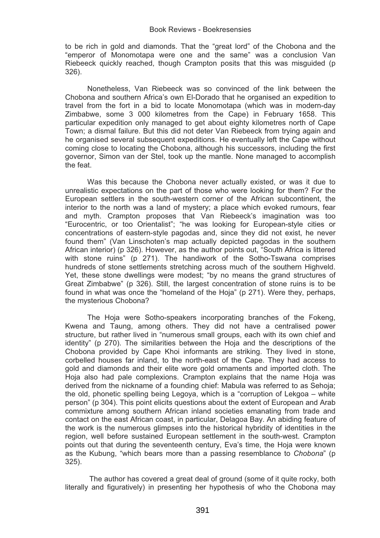to be rich in gold and diamonds. That the "great lord" of the Chobona and the "emperor of Monomotapa were one and the same" was a conclusion Van Riebeeck quickly reached, though Crampton posits that this was misguided (p 326).

Nonetheless, Van Riebeeck was so convinced of the link between the Chobona and southern Africa's own El-Dorado that he organised an expedition to travel from the fort in a bid to locate Monomotapa (which was in modern-day Zimbabwe, some 3 000 kilometres from the Cape) in February 1658. This particular expedition only managed to get about eighty kilometres north of Cape Town; a dismal failure. But this did not deter Van Riebeeck from trying again and he organised several subsequent expeditions. He eventually left the Cape without coming close to locating the Chobona, although his successors, including the first governor, Simon van der Stel, took up the mantle. None managed to accomplish the feat.

Was this because the Chobona never actually existed, or was it due to unrealistic expectations on the part of those who were looking for them? For the European settlers in the south-western corner of the African subcontinent, the interior to the north was a land of mystery; a place which evoked rumours, fear and myth. Crampton proposes that Van Riebeeck's imagination was too "Eurocentric, or too Orientalist"; "he was looking for European-style cities or concentrations of eastern-style pagodas and, since they did not exist, he never found them" (Van Linschoten's map actually depicted pagodas in the southern African interior) (p 326). However, as the author points out, "South Africa is littered with stone ruins" (p 271). The handiwork of the Sotho-Tswana comprises hundreds of stone settlements stretching across much of the southern Highveld. Yet, these stone dwellings were modest; "by no means the grand structures of Great Zimbabwe" (p 326). Still, the largest concentration of stone ruins is to be found in what was once the "homeland of the Hoja" (p 271). Were they, perhaps, the mysterious Chobona?

The Hoja were Sotho-speakers incorporating branches of the Fokeng, Kwena and Taung, among others. They did not have a centralised power structure, but rather lived in "numerous small groups, each with its own chief and identity" (p 270). The similarities between the Hoja and the descriptions of the Chobona provided by Cape Khoi informants are striking. They lived in stone, corbelled houses far inland, to the north-east of the Cape. They had access to gold and diamonds and their elite wore gold ornaments and imported cloth. The Hoja also had pale complexions. Crampton explains that the name Hoja was derived from the nickname of a founding chief: Mabula was referred to as Sehoja; the old, phonetic spelling being Legoya, which is a "corruption of Lekgoa – white person" (p 304). This point elicits questions about the extent of European and Arab commixture among southern African inland societies emanating from trade and contact on the east African coast, in particular, Delagoa Bay. An abiding feature of the work is the numerous glimpses into the historical hybridity of identities in the region, well before sustained European settlement in the south-west. Crampton points out that during the seventeenth century, Eva's time, the Hoja were known as the Kubung, "which bears more than a passing resemblance to *Chobona*" (p 325).

 The author has covered a great deal of ground (some of it quite rocky, both literally and figuratively) in presenting her hypothesis of who the Chobona may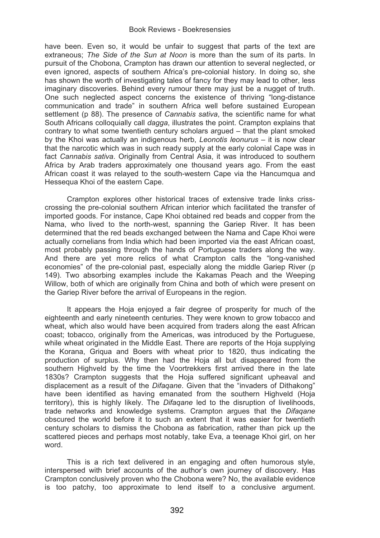have been. Even so, it would be unfair to suggest that parts of the text are extraneous; *The Side of the Sun at Noon* is more than the sum of its parts. In pursuit of the Chobona, Crampton has drawn our attention to several neglected, or even ignored, aspects of southern Africa's pre-colonial history. In doing so, she has shown the worth of investigating tales of fancy for they may lead to other, less imaginary discoveries. Behind every rumour there may just be a nugget of truth. One such neglected aspect concerns the existence of thriving "long-distance communication and trade" in southern Africa well before sustained European settlement (p 88). The presence of *Cannabis sativa*, the scientific name for what South Africans colloquially call *dagga*, illustrates the point. Crampton explains that contrary to what some twentieth century scholars argued – that the plant smoked by the Khoi was actually an indigenous herb, *Leonotis leonurus* – it is now clear that the narcotic which was in such ready supply at the early colonial Cape was in fact *Cannabis sativa*. Originally from Central Asia, it was introduced to southern Africa by Arab traders approximately one thousand years ago. From the east African coast it was relayed to the south-western Cape via the Hancumqua and Hessequa Khoi of the eastern Cape.

Crampton explores other historical traces of extensive trade links crisscrossing the pre-colonial southern African interior which facilitated the transfer of imported goods. For instance, Cape Khoi obtained red beads and copper from the Nama, who lived to the north-west, spanning the Gariep River. It has been determined that the red beads exchanged between the Nama and Cape Khoi were actually cornelians from India which had been imported via the east African coast, most probably passing through the hands of Portuguese traders along the way. And there are yet more relics of what Crampton calls the "long-vanished economies" of the pre-colonial past, especially along the middle Gariep River (p 149). Two absorbing examples include the Kakamas Peach and the Weeping Willow, both of which are originally from China and both of which were present on the Gariep River before the arrival of Europeans in the region.

It appears the Hoja enjoyed a fair degree of prosperity for much of the eighteenth and early nineteenth centuries. They were known to grow tobacco and wheat, which also would have been acquired from traders along the east African coast; tobacco, originally from the Americas, was introduced by the Portuguese, while wheat originated in the Middle East. There are reports of the Hoja supplying the Korana, Griqua and Boers with wheat prior to 1820, thus indicating the production of surplus. Why then had the Hoja all but disappeared from the southern Highveld by the time the Voortrekkers first arrived there in the late 1830s? Crampton suggests that the Hoja suffered significant upheaval and displacement as a result of the *Difaqane*. Given that the "invaders of Dithakong" have been identified as having emanated from the southern Highveld (Hoja territory), this is highly likely. The *Difaqane* led to the disruption of livelihoods, trade networks and knowledge systems. Crampton argues that the *Difaqane*  obscured the world before it to such an extent that it was easier for twentieth century scholars to dismiss the Chobona as fabrication, rather than pick up the scattered pieces and perhaps most notably, take Eva, a teenage Khoi girl, on her word.

This is a rich text delivered in an engaging and often humorous style, interspersed with brief accounts of the author's own journey of discovery. Has Crampton conclusively proven who the Chobona were? No, the available evidence is too patchy, too approximate to lend itself to a conclusive argument.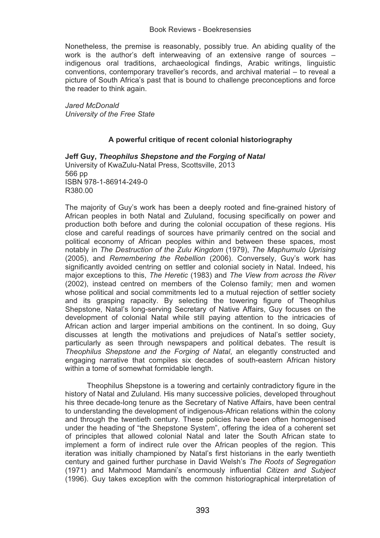Nonetheless, the premise is reasonably, possibly true. An abiding quality of the work is the author's deft interweaving of an extensive range of sources – indigenous oral traditions, archaeological findings, Arabic writings, linguistic conventions, contemporary traveller's records, and archival material – to reveal a picture of South Africa's past that is bound to challenge preconceptions and force the reader to think again.

*Jared McDonald University of the Free State*

# **A powerful critique of recent colonial historiography**

**Jeff Guy,** *Theophilus Shepstone and the Forging of Natal*  University of KwaZulu-Natal Press, Scottsville, 2013 566 pp ISBN 978-1-86914-249-0 R380.00

The majority of Guy's work has been a deeply rooted and fine-grained history of African peoples in both Natal and Zululand, focusing specifically on power and production both before and during the colonial occupation of these regions. His close and careful readings of sources have primarily centred on the social and political economy of African peoples within and between these spaces, most notably in *The Destruction of the Zulu Kingdom* (1979), *The Maphumulo Uprising* (2005), and *Remembering the Rebellion* (2006). Conversely, Guy's work has significantly avoided centring on settler and colonial society in Natal. Indeed, his major exceptions to this, *The Heretic* (1983) and *The View from across the River* (2002), instead centred on members of the Colenso family; men and women whose political and social commitments led to a mutual rejection of settler society and its grasping rapacity. By selecting the towering figure of Theophilus Shepstone, Natal's long-serving Secretary of Native Affairs, Guy focuses on the development of colonial Natal while still paying attention to the intricacies of African action and larger imperial ambitions on the continent. In so doing, Guy discusses at length the motivations and prejudices of Natal's settler society, particularly as seen through newspapers and political debates. The result is *Theophilus Shepstone and the Forging of Natal*, an elegantly constructed and engaging narrative that compiles six decades of south-eastern African history within a tome of somewhat formidable length.

 Theophilus Shepstone is a towering and certainly contradictory figure in the history of Natal and Zululand. His many successive policies, developed throughout his three decade-long tenure as the Secretary of Native Affairs, have been central to understanding the development of indigenous-African relations within the colony and through the twentieth century. These policies have been often homogenised under the heading of "the Shepstone System", offering the idea of a coherent set of principles that allowed colonial Natal and later the South African state to implement a form of indirect rule over the African peoples of the region. This iteration was initially championed by Natal's first historians in the early twentieth century and gained further purchase in David Welsh's *The Roots of Segregation* (1971) and Mahmood Mamdani's enormously influential *Citizen and Subject* (1996). Guy takes exception with the common historiographical interpretation of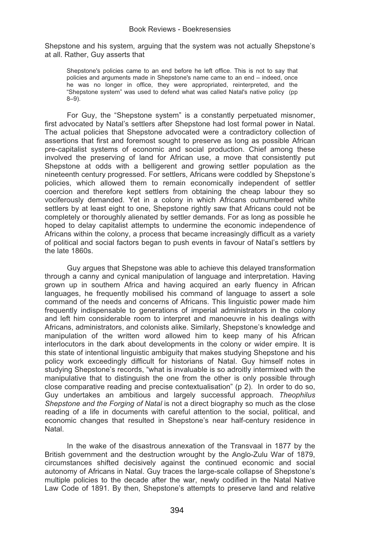Shepstone and his system, arguing that the system was not actually Shepstone's at all. Rather, Guy asserts that

Shepstone's policies came to an end before he left office. This is not to say that policies and arguments made in Shepstone's name came to an end – indeed, once he was no longer in office, they were appropriated, reinterpreted, and the "Shepstone system" was used to defend what was called Natal's native policy (pp 8–9).

For Guy, the "Shepstone system" is a constantly perpetuated misnomer, first advocated by Natal's settlers after Shepstone had lost formal power in Natal. The actual policies that Shepstone advocated were a contradictory collection of assertions that first and foremost sought to preserve as long as possible African pre-capitalist systems of economic and social production. Chief among these involved the preserving of land for African use, a move that consistently put Shepstone at odds with a belligerent and growing settler population as the nineteenth century progressed. For settlers, Africans were coddled by Shepstone's policies, which allowed them to remain economically independent of settler coercion and therefore kept settlers from obtaining the cheap labour they so vociferously demanded. Yet in a colony in which Africans outnumbered white settlers by at least eight to one, Shepstone rightly saw that Africans could not be completely or thoroughly alienated by settler demands. For as long as possible he hoped to delay capitalist attempts to undermine the economic independence of Africans within the colony, a process that became increasingly difficult as a variety of political and social factors began to push events in favour of Natal's settlers by the late 1860s.

Guy argues that Shepstone was able to achieve this delayed transformation through a canny and cynical manipulation of language and interpretation. Having grown up in southern Africa and having acquired an early fluency in African languages, he frequently mobilised his command of language to assert a sole command of the needs and concerns of Africans. This linguistic power made him frequently indispensable to generations of imperial administrators in the colony and left him considerable room to interpret and manoeuvre in his dealings with Africans, administrators, and colonists alike. Similarly, Shepstone's knowledge and manipulation of the written word allowed him to keep many of his African interlocutors in the dark about developments in the colony or wider empire. It is this state of intentional linguistic ambiguity that makes studying Shepstone and his policy work exceedingly difficult for historians of Natal. Guy himself notes in studying Shepstone's records, "what is invaluable is so adroitly intermixed with the manipulative that to distinguish the one from the other is only possible through close comparative reading and precise contextualisation" (p 2). In order to do so, Guy undertakes an ambitious and largely successful approach. *Theophilus Shepstone and the Forging of Natal* is not a direct biography so much as the close reading of a life in documents with careful attention to the social, political, and economic changes that resulted in Shepstone's near half-century residence in Natal.

In the wake of the disastrous annexation of the Transvaal in 1877 by the British government and the destruction wrought by the Anglo-Zulu War of 1879, circumstances shifted decisively against the continued economic and social autonomy of Africans in Natal. Guy traces the large-scale collapse of Shepstone's multiple policies to the decade after the war, newly codified in the Natal Native Law Code of 1891. By then, Shepstone's attempts to preserve land and relative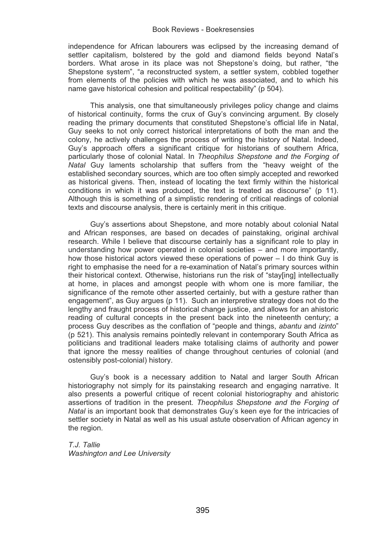independence for African labourers was eclipsed by the increasing demand of settler capitalism, bolstered by the gold and diamond fields beyond Natal's borders. What arose in its place was not Shepstone's doing, but rather, "the Shepstone system", "a reconstructed system, a settler system, cobbled together from elements of the policies with which he was associated, and to which his name gave historical cohesion and political respectability" (p 504).

This analysis, one that simultaneously privileges policy change and claims of historical continuity, forms the crux of Guy's convincing argument. By closely reading the primary documents that constituted Shepstone's official life in Natal, Guy seeks to not only correct historical interpretations of both the man and the colony, he actively challenges the process of writing the history of Natal. Indeed, Guy's approach offers a significant critique for historians of southern Africa, particularly those of colonial Natal. In *Theophilus Shepstone and the Forging of Natal* Guy laments scholarship that suffers from the "heavy weight of the established secondary sources, which are too often simply accepted and reworked as historical givens. Then, instead of locating the text firmly within the historical conditions in which it was produced, the text is treated as discourse" (p 11). Although this is something of a simplistic rendering of critical readings of colonial texts and discourse analysis, there is certainly merit in this critique.

Guy's assertions about Shepstone, and more notably about colonial Natal and African responses, are based on decades of painstaking, original archival research. While I believe that discourse certainly has a significant role to play in understanding how power operated in colonial societies – and more importantly, how those historical actors viewed these operations of power – I do think Guy is right to emphasise the need for a re-examination of Natal's primary sources within their historical context. Otherwise, historians run the risk of "stay[ing] intellectually at home, in places and amongst people with whom one is more familiar, the significance of the remote other asserted certainly, but with a gesture rather than engagement", as Guy argues (p 11). Such an interpretive strategy does not do the lengthy and fraught process of historical change justice, and allows for an ahistoric reading of cultural concepts in the present back into the nineteenth century; a process Guy describes as the conflation of "people and things, *abantu* and *izinto*" (p 521). This analysis remains pointedly relevant in contemporary South Africa as politicians and traditional leaders make totalising claims of authority and power that ignore the messy realities of change throughout centuries of colonial (and ostensibly post-colonial) history.

Guy's book is a necessary addition to Natal and larger South African historiography not simply for its painstaking research and engaging narrative. It also presents a powerful critique of recent colonial historiography and ahistoric assertions of tradition in the present. *Theophilus Shepstone and the Forging of Natal* is an important book that demonstrates Guy's keen eye for the intricacies of settler society in Natal as well as his usual astute observation of African agency in the region.

*T.J. Tallie Washington and Lee University*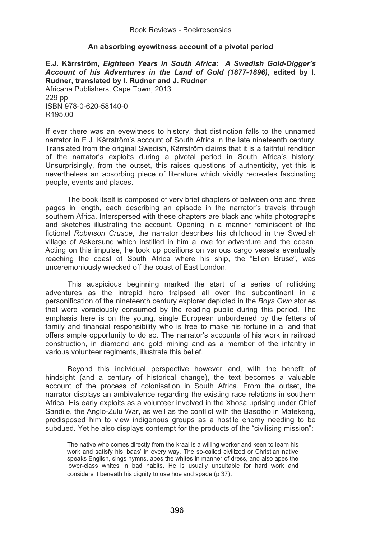# **An absorbing eyewitness account of a pivotal period**

**E.J. Kärrström,** *Eighteen Years in South Africa: A Swedish Gold-Digger's Account of his Adventures in the Land of Gold (1877-1896)***, edited by I. Rudner, translated by I. Rudner and J. Rudner**  Africana Publishers, Cape Town, 2013 229 pp ISBN 978-0-620-58140-0 R195.00

If ever there was an eyewitness to history, that distinction falls to the unnamed narrator in E.J. Kärrström's account of South Africa in the late nineteenth century. Translated from the original Swedish, Kärrström claims that it is a faithful rendition of the narrator's exploits during a pivotal period in South Africa's history. Unsurprisingly, from the outset, this raises questions of authenticity, yet this is nevertheless an absorbing piece of literature which vividly recreates fascinating people, events and places.

 The book itself is composed of very brief chapters of between one and three pages in length, each describing an episode in the narrator's travels through southern Africa. Interspersed with these chapters are black and white photographs and sketches illustrating the account. Opening in a manner reminiscent of the fictional *Robinson Crusoe*, the narrator describes his childhood in the Swedish village of Askersund which instilled in him a love for adventure and the ocean. Acting on this impulse, he took up positions on various cargo vessels eventually reaching the coast of South Africa where his ship, the "Ellen Bruse", was unceremoniously wrecked off the coast of East London.

This auspicious beginning marked the start of a series of rollicking adventures as the intrepid hero traipsed all over the subcontinent in a personification of the nineteenth century explorer depicted in the *Boys Own* stories that were voraciously consumed by the reading public during this period. The emphasis here is on the young, single European unburdened by the fetters of family and financial responsibility who is free to make his fortune in a land that offers ample opportunity to do so. The narrator's accounts of his work in railroad construction, in diamond and gold mining and as a member of the infantry in various volunteer regiments, illustrate this belief.

Beyond this individual perspective however and, with the benefit of hindsight (and a century of historical change), the text becomes a valuable account of the process of colonisation in South Africa. From the outset, the narrator displays an ambivalence regarding the existing race relations in southern Africa. His early exploits as a volunteer involved in the Xhosa uprising under Chief Sandile, the Anglo-Zulu War, as well as the conflict with the Basotho in Mafekeng, predisposed him to view indigenous groups as a hostile enemy needing to be subdued. Yet he also displays contempt for the products of the "civilising mission":

The native who comes directly from the kraal is a willing worker and keen to learn his work and satisfy his 'baas' in every way. The so-called civilized or Christian native speaks English, sings hymns, apes the whites in manner of dress, and also apes the lower-class whites in bad habits. He is usually unsuitable for hard work and considers it beneath his dignity to use hoe and spade (p 37).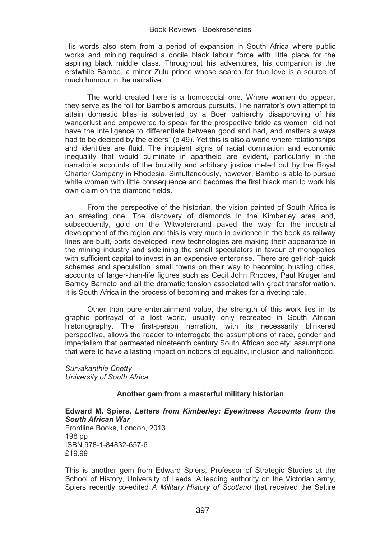His words also stem from a period of expansion in South Africa where public works and mining required a docile black labour force with little place for the aspiring black middle class. Throughout his adventures, his companion is the erstwhile Bambo, a minor Zulu prince whose search for true love is a source of much humour in the narrative.

The world created here is a homosocial one. Where women do appear, they serve as the foil for Bambo's amorous pursuits. The narrator's own attempt to attain domestic bliss is subverted by a Boer patriarchy disapproving of his wanderlust and empowered to speak for the prospective bride as women "did not have the intelligence to differentiate between good and bad, and matters always had to be decided by the elders" (p 49). Yet this is also a world where relationships and identities are fluid. The incipient signs of racial domination and economic inequality that would culminate in apartheid are evident, particularly in the narrator's accounts of the brutality and arbitrary justice meted out by the Royal Charter Company in Rhodesia. Simultaneously, however, Bambo is able to pursue white women with little consequence and becomes the first black man to work his own claim on the diamond fields.

From the perspective of the historian, the vision painted of South Africa is an arresting one. The discovery of diamonds in the Kimberley area and, subsequently, gold on the Witwatersrand paved the way for the industrial development of the region and this is very much in evidence in the book as railway lines are built, ports developed, new technologies are making their appearance in the mining industry and sidelining the small speculators in favour of monopolies with sufficient capital to invest in an expensive enterprise. There are get-rich-quick schemes and speculation, small towns on their way to becoming bustling cities, accounts of larger-than-life figures such as Cecil John Rhodes, Paul Kruger and Barney Barnato and all the dramatic tension associated with great transformation. It is South Africa in the process of becoming and makes for a riveting tale.

Other than pure entertainment value, the strength of this work lies in its graphic portrayal of a lost world, usually only recreated in South African historiography. The first-person narration, with its necessarily blinkered perspective, allows the reader to interrogate the assumptions of race, gender and imperialism that permeated nineteenth century South African society; assumptions that were to have a lasting impact on notions of equality, inclusion and nationhood.

*Suryakanthie Chetty University of South Africa* 

# **Another gem from a masterful military historian**

**Edward M. Spiers,** *Letters from Kimberley: Eyewitness Accounts from the South African War* Frontline Books, London, 2013 198 pp ISBN 978-1-84832-657-6 £19.99

This is another gem from Edward Spiers, Professor of Strategic Studies at the School of History, University of Leeds. A leading authority on the Victorian army, Spiers recently co-edited *A Military History of Scotland* that received the Saltire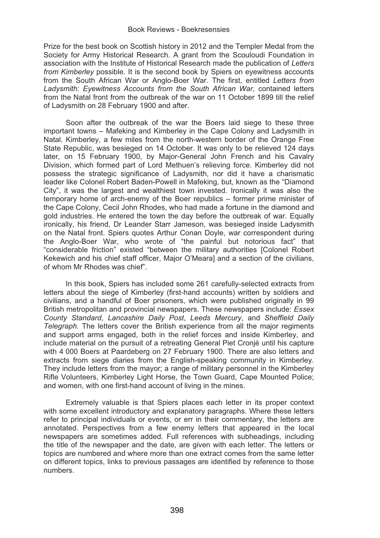Prize for the best book on Scottish history in 2012 and the Templer Medal from the Society for Army Historical Research. A grant from the Scouloudi Foundation in association with the Institute of Historical Research made the publication of *Letters from Kimberley* possible. It is the second book by Spiers on eyewitness accounts from the South African War or Anglo-Boer War. The first, entitled *Letters from Ladysmith: Eyewitness Accounts from the South African War*, contained letters from the Natal front from the outbreak of the war on 11 October 1899 till the relief of Ladysmith on 28 February 1900 and after.

Soon after the outbreak of the war the Boers laid siege to these three important towns – Mafeking and Kimberley in the Cape Colony and Ladysmith in Natal. Kimberley, a few miles from the north-western border of the Orange Free State Republic, was besieged on 14 October. It was only to be relieved 124 days later, on 15 February 1900, by Major-General John French and his Cavalry Division, which formed part of Lord Methuen's relieving force. Kimberley did not possess the strategic significance of Ladysmith, nor did it have a charismatic leader like Colonel Robert Baden-Powell in Mafeking, but, known as the "Diamond City", it was the largest and wealthiest town invested. Ironically it was also the temporary home of arch-enemy of the Boer republics – former prime minister of the Cape Colony, Cecil John Rhodes, who had made a fortune in the diamond and gold industries. He entered the town the day before the outbreak of war. Equally ironically, his friend, Dr Leander Starr Jameson, was besieged inside Ladysmith on the Natal front. Spiers quotes Arthur Conan Doyle, war correspondent during the Anglo-Boer War, who wrote of "the painful but notorious fact" that "considerable friction" existed "between the military authorities [Colonel Robert Kekewich and his chief staff officer, Major O'Meara] and a section of the civilians, of whom Mr Rhodes was chief".

In this book, Spiers has included some 261 carefully-selected extracts from letters about the siege of Kimberley (first-hand accounts) written by soldiers and civilians, and a handful of Boer prisoners, which were published originally in 99 British metropolitan and provincial newspapers. These newspapers include: *Essex County Standard*, *Lancashire Daily Post*, *Leeds Mercury*, and *Sheffield Daily Telegraph*. The letters cover the British experience from all the major regiments and support arms engaged, both in the relief forces and inside Kimberley, and include material on the pursuit of a retreating General Piet Cronjé until his capture with 4 000 Boers at Paardeberg on 27 February 1900. There are also letters and extracts from siege diaries from the English-speaking community in Kimberley. They include letters from the mayor; a range of military personnel in the Kimberley Rifle Volunteers, Kimberley Light Horse, the Town Guard, Cape Mounted Police; and women, with one first-hand account of living in the mines.

Extremely valuable is that Spiers places each letter in its proper context with some excellent introductory and explanatory paragraphs. Where these letters refer to principal individuals or events, or err in their commentary, the letters are annotated. Perspectives from a few enemy letters that appeared in the local newspapers are sometimes added. Full references with subheadings, including the title of the newspaper and the date, are given with each letter. The letters or topics are numbered and where more than one extract comes from the same letter on different topics, links to previous passages are identified by reference to those numbers.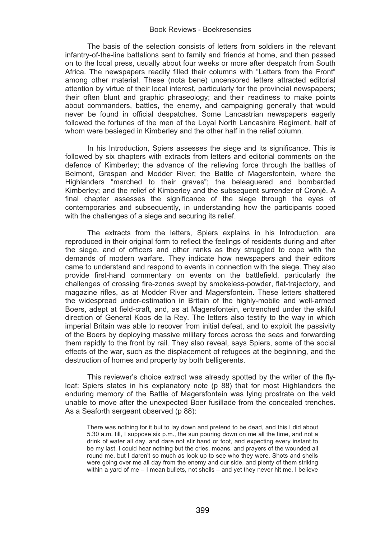The basis of the selection consists of letters from soldiers in the relevant infantry-of-the-line battalions sent to family and friends at home, and then passed on to the local press, usually about four weeks or more after despatch from South Africa. The newspapers readily filled their columns with "Letters from the Front" among other material. These (nota bene) uncensored letters attracted editorial attention by virtue of their local interest, particularly for the provincial newspapers; their often blunt and graphic phraseology; and their readiness to make points about commanders, battles, the enemy, and campaigning generally that would never be found in official despatches. Some Lancastrian newspapers eagerly followed the fortunes of the men of the Loyal North Lancashire Regiment, half of whom were besieged in Kimberley and the other half in the relief column.

In his Introduction, Spiers assesses the siege and its significance. This is followed by six chapters with extracts from letters and editorial comments on the defence of Kimberley; the advance of the relieving force through the battles of Belmont, Graspan and Modder River; the Battle of Magersfontein, where the Highlanders "marched to their graves"; the beleaguered and bombarded Kimberley; and the relief of Kimberley and the subsequent surrender of Cronjé. A final chapter assesses the significance of the siege through the eyes of contemporaries and subsequently, in understanding how the participants coped with the challenges of a siege and securing its relief.

The extracts from the letters, Spiers explains in his Introduction, are reproduced in their original form to reflect the feelings of residents during and after the siege, and of officers and other ranks as they struggled to cope with the demands of modern warfare. They indicate how newspapers and their editors came to understand and respond to events in connection with the siege. They also provide first-hand commentary on events on the battlefield, particularly the challenges of crossing fire-zones swept by smokeless-powder, flat-trajectory, and magazine rifles, as at Modder River and Magersfontein. These letters shattered the widespread under-estimation in Britain of the highly-mobile and well-armed Boers, adept at field-craft, and, as at Magersfontein, entrenched under the skilful direction of General Koos de la Rey. The letters also testify to the way in which imperial Britain was able to recover from initial defeat, and to exploit the passivity of the Boers by deploying massive military forces across the seas and forwarding them rapidly to the front by rail. They also reveal, says Spiers, some of the social effects of the war, such as the displacement of refugees at the beginning, and the destruction of homes and property by both belligerents.

This reviewer's choice extract was already spotted by the writer of the flyleaf: Spiers states in his explanatory note (p 88) that for most Highlanders the enduring memory of the Battle of Magersfontein was lying prostrate on the veld unable to move after the unexpected Boer fusillade from the concealed trenches. As a Seaforth sergeant observed (p 88):

There was nothing for it but to lay down and pretend to be dead, and this I did about 5.30 a.m. till, I suppose six p.m., the sun pouring down on me all the time, and not a drink of water all day, and dare not stir hand or foot, and expecting every instant to be my last. I could hear nothing but the cries, moans, and prayers of the wounded all round me, but I daren't so much as look up to see who they were. Shots and shells were going over me all day from the enemy and our side, and plenty of them striking within a yard of me – I mean bullets, not shells – and yet they never hit me. I believe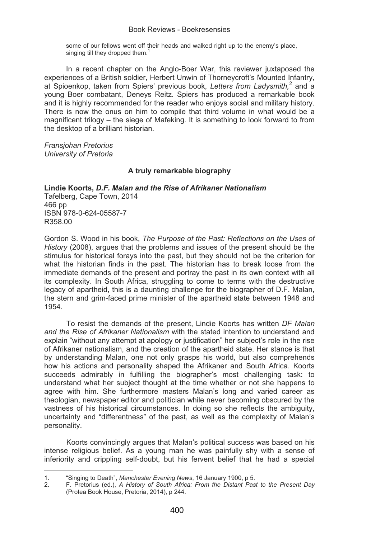some of our fellows went off their heads and walked right up to the enemy's place, singing till they dropped them.<sup>1</sup>

In a recent chapter on the Anglo-Boer War, this reviewer juxtaposed the experiences of a British soldier, Herbert Unwin of Thorneycroft's Mounted Infantry, at Spioenkop, taken from Spiers' previous book, Letters from Ladysmith,<sup>2</sup> and a young Boer combatant, Deneys Reitz. Spiers has produced a remarkable book and it is highly recommended for the reader who enjoys social and military history. There is now the onus on him to compile that third volume in what would be a magnificent trilogy – the siege of Mafeking. It is something to look forward to from the desktop of a brilliant historian.

*Fransjohan Pretorius University of Pretoria* 

֦

# **A truly remarkable biography**

**Lindie Koorts,** *D.F. Malan and the Rise of Afrikaner Nationalism*  Tafelberg, Cape Town, 2014 466 pp ISBN 978-0-624-05587-7 R358.00

Gordon S. Wood in his book, *The Purpose of the Past: Reflections on the Uses of History* (2008), argues that the problems and issues of the present should be the stimulus for historical forays into the past, but they should not be the criterion for what the historian finds in the past. The historian has to break loose from the immediate demands of the present and portray the past in its own context with all its complexity. In South Africa, struggling to come to terms with the destructive legacy of apartheid, this is a daunting challenge for the biographer of D.F. Malan, the stern and grim-faced prime minister of the apartheid state between 1948 and 1954.

To resist the demands of the present, Lindie Koorts has written *DF Malan and the Rise of Afrikaner Nationalism* with the stated intention to understand and explain "without any attempt at apology or justification" her subject's role in the rise of Afrikaner nationalism, and the creation of the apartheid state. Her stance is that by understanding Malan, one not only grasps his world, but also comprehends how his actions and personality shaped the Afrikaner and South Africa. Koorts succeeds admirably in fulfilling the biographer's most challenging task: to understand what her subject thought at the time whether or not she happens to agree with him. She furthermore masters Malan's long and varied career as theologian, newspaper editor and politician while never becoming obscured by the vastness of his historical circumstances. In doing so she reflects the ambiguity, uncertainty and "differentness" of the past, as well as the complexity of Malan's personality.

Koorts convincingly argues that Malan's political success was based on his intense religious belief. As a young man he was painfully shy with a sense of inferiority and crippling self-doubt, but his fervent belief that he had a special

<sup>1. &</sup>quot;Singing to Death", *Manchester Evening News*, 16 January 1900, p 5.

<sup>2.</sup> F. Pretorius (ed.), *A History of South Africa: From the Distant Past to the Present Day* (Protea Book House, Pretoria, 2014), p 244.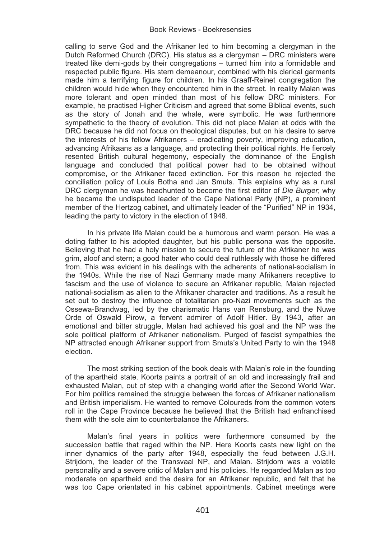calling to serve God and the Afrikaner led to him becoming a clergyman in the Dutch Reformed Church (DRC). His status as a clergyman – DRC ministers were treated like demi-gods by their congregations – turned him into a formidable and respected public figure. His stern demeanour, combined with his clerical garments made him a terrifying figure for children. In his Graaff-Reinet congregation the children would hide when they encountered him in the street. In reality Malan was more tolerant and open minded than most of his fellow DRC ministers. For example, he practised Higher Criticism and agreed that some Biblical events, such as the story of Jonah and the whale, were symbolic. He was furthermore sympathetic to the theory of evolution. This did not place Malan at odds with the DRC because he did not focus on theological disputes, but on his desire to serve the interests of his fellow Afrikaners – eradicating poverty, improving education, advancing Afrikaans as a language, and protecting their political rights. He fiercely resented British cultural hegemony, especially the dominance of the English language and concluded that political power had to be obtained without compromise, or the Afrikaner faced extinction. For this reason he rejected the conciliation policy of Louis Botha and Jan Smuts. This explains why as a rural DRC clergyman he was headhunted to become the first editor of *Die Burger*; why he became the undisputed leader of the Cape National Party (NP), a prominent member of the Hertzog cabinet, and ultimately leader of the "Purified" NP in 1934, leading the party to victory in the election of 1948.

In his private life Malan could be a humorous and warm person. He was a doting father to his adopted daughter, but his public persona was the opposite. Believing that he had a holy mission to secure the future of the Afrikaner he was grim, aloof and stern; a good hater who could deal ruthlessly with those he differed from. This was evident in his dealings with the adherents of national-socialism in the 1940s. While the rise of Nazi Germany made many Afrikaners receptive to fascism and the use of violence to secure an Afrikaner republic, Malan rejected national-socialism as alien to the Afrikaner character and traditions. As a result he set out to destroy the influence of totalitarian pro-Nazi movements such as the Ossewa-Brandwag, led by the charismatic Hans van Rensburg, and the Nuwe Orde of Oswald Pirow, a fervent admirer of Adolf Hitler. By 1943, after an emotional and bitter struggle, Malan had achieved his goal and the NP was the sole political platform of Afrikaner nationalism. Purged of fascist sympathies the NP attracted enough Afrikaner support from Smuts's United Party to win the 1948 election.

The most striking section of the book deals with Malan's role in the founding of the apartheid state. Koorts paints a portrait of an old and increasingly frail and exhausted Malan, out of step with a changing world after the Second World War. For him politics remained the struggle between the forces of Afrikaner nationalism and British imperialism. He wanted to remove Coloureds from the common voters roll in the Cape Province because he believed that the British had enfranchised them with the sole aim to counterbalance the Afrikaners.

Malan's final years in politics were furthermore consumed by the succession battle that raged within the NP. Here Koorts casts new light on the inner dynamics of the party after 1948, especially the feud between J.G.H. Strijdom, the leader of the Transvaal NP, and Malan. Strijdom was a volatile personality and a severe critic of Malan and his policies. He regarded Malan as too moderate on apartheid and the desire for an Afrikaner republic, and felt that he was too Cape orientated in his cabinet appointments. Cabinet meetings were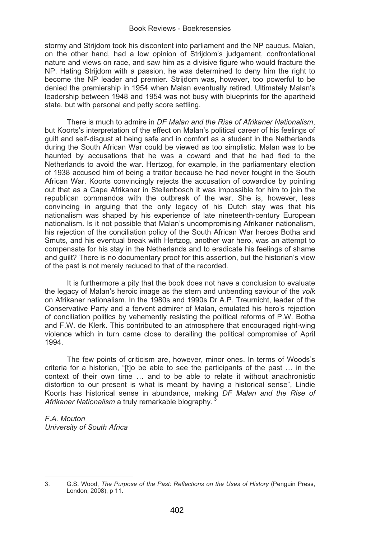stormy and Strijdom took his discontent into parliament and the NP caucus. Malan, on the other hand, had a low opinion of Strijdom's judgement, confrontational nature and views on race, and saw him as a divisive figure who would fracture the NP. Hating Strijdom with a passion, he was determined to deny him the right to become the NP leader and premier. Strijdom was, however, too powerful to be denied the premiership in 1954 when Malan eventually retired. Ultimately Malan's leadership between 1948 and 1954 was not busy with blueprints for the apartheid state, but with personal and petty score settling.

There is much to admire in *DF Malan and the Rise of Afrikaner Nationalism*, but Koorts's interpretation of the effect on Malan's political career of his feelings of guilt and self-disgust at being safe and in comfort as a student in the Netherlands during the South African War could be viewed as too simplistic. Malan was to be haunted by accusations that he was a coward and that he had fled to the Netherlands to avoid the war. Hertzog, for example, in the parliamentary election of 1938 accused him of being a traitor because he had never fought in the South African War. Koorts convincingly rejects the accusation of cowardice by pointing out that as a Cape Afrikaner in Stellenbosch it was impossible for him to join the republican commandos with the outbreak of the war. She is, however, less convincing in arguing that the only legacy of his Dutch stay was that his nationalism was shaped by his experience of late nineteenth-century European nationalism. Is it not possible that Malan's uncompromising Afrikaner nationalism, his rejection of the conciliation policy of the South African War heroes Botha and Smuts, and his eventual break with Hertzog, another war hero, was an attempt to compensate for his stay in the Netherlands and to eradicate his feelings of shame and guilt? There is no documentary proof for this assertion, but the historian's view of the past is not merely reduced to that of the recorded.

It is furthermore a pity that the book does not have a conclusion to evaluate the legacy of Malan's heroic image as the stern and unbending saviour of the *volk* on Afrikaner nationalism. In the 1980s and 1990s Dr A.P. Treurnicht, leader of the Conservative Party and a fervent admirer of Malan, emulated his hero's rejection of conciliation politics by vehemently resisting the political reforms of P.W. Botha and F.W. de Klerk. This contributed to an atmosphere that encouraged right-wing violence which in turn came close to derailing the political compromise of April 1994.

The few points of criticism are, however, minor ones. In terms of Woods's criteria for a historian, "[t]o be able to see the participants of the past … in the context of their own time … and to be able to relate it without anachronistic distortion to our present is what is meant by having a historical sense", Lindie Koorts has historical sense in abundance, making *DF Malan and the Rise of*  Afrikaner Nationalism a truly remarkable biography.

*F.A. Mouton University of South Africa* 

 $\overline{a}$ 

<sup>3.</sup> G.S. Wood, *The Purpose of the Past: Reflections on the Uses of History* (Penguin Press, London, 2008), p 11.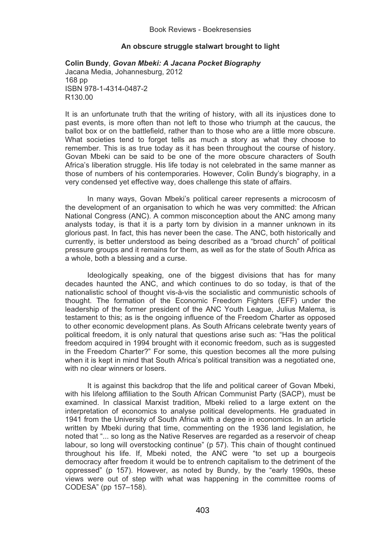# **An obscure struggle stalwart brought to light**

# **Colin Bundy**, *Govan Mbeki: A Jacana Pocket Biography*  Jacana Media, Johannesburg, 2012 168 pp ISBN 978-1-4314-0487-2 R130.00

It is an unfortunate truth that the writing of history, with all its injustices done to past events, is more often than not left to those who triumph at the caucus, the ballot box or on the battlefield, rather than to those who are a little more obscure. What societies tend to forget tells as much a story as what they choose to remember. This is as true today as it has been throughout the course of history. Govan Mbeki can be said to be one of the more obscure characters of South Africa's liberation struggle. His life today is not celebrated in the same manner as those of numbers of his contemporaries. However, Colin Bundy's biography, in a very condensed yet effective way, does challenge this state of affairs.

In many ways, Govan Mbeki's political career represents a microcosm of the development of an organisation to which he was very committed: the African National Congress (ANC). A common misconception about the ANC among many analysts today, is that it is a party torn by division in a manner unknown in its glorious past. In fact, this has never been the case. The ANC, both historically and currently, is better understood as being described as a "broad church" of political pressure groups and it remains for them, as well as for the state of South Africa as a whole, both a blessing and a curse.

Ideologically speaking, one of the biggest divisions that has for many decades haunted the ANC, and which continues to do so today, is that of the nationalistic school of thought vis-à-vis the socialistic and communistic schools of thought. The formation of the Economic Freedom Fighters (EFF) under the leadership of the former president of the ANC Youth League, Julius Malema, is testament to this; as is the ongoing influence of the Freedom Charter as opposed to other economic development plans. As South Africans celebrate twenty years of political freedom, it is only natural that questions arise such as: "Has the political freedom acquired in 1994 brought with it economic freedom, such as is suggested in the Freedom Charter?" For some, this question becomes all the more pulsing when it is kept in mind that South Africa's political transition was a negotiated one. with no clear winners or losers.

It is against this backdrop that the life and political career of Govan Mbeki, with his lifelong affiliation to the South African Communist Party (SACP), must be examined. In classical Marxist tradition, Mbeki relied to a large extent on the interpretation of economics to analyse political developments. He graduated in 1941 from the University of South Africa with a degree in economics. In an article written by Mbeki during that time, commenting on the 1936 land legislation, he noted that "... so long as the Native Reserves are regarded as a reservoir of cheap labour, so long will overstocking continue" (p 57). This chain of thought continued throughout his life. If, Mbeki noted, the ANC were "to set up a bourgeois democracy after freedom it would be to entrench capitalism to the detriment of the oppressed" (p 157). However, as noted by Bundy, by the "early 1990s, these views were out of step with what was happening in the committee rooms of CODESA" (pp 157–158).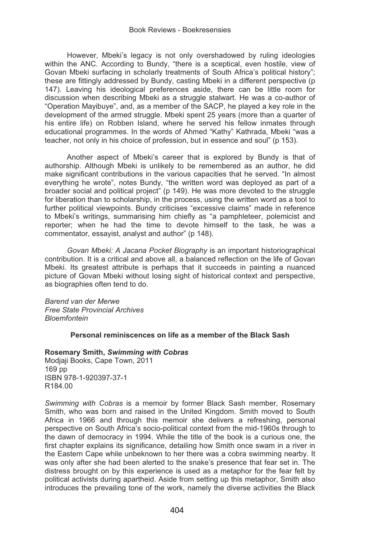However, Mbeki's legacy is not only overshadowed by ruling ideologies within the ANC. According to Bundy, "there is a sceptical, even hostile, view of Govan Mbeki surfacing in scholarly treatments of South Africa's political history"; these are fittingly addressed by Bundy, casting Mbeki in a different perspective (p 147). Leaving his ideological preferences aside, there can be little room for discussion when describing Mbeki as a struggle stalwart. He was a co-author of "Operation Mayibuye", and, as a member of the SACP, he played a key role in the development of the armed struggle. Mbeki spent 25 years (more than a quarter of his entire life) on Robben Island, where he served his fellow inmates through educational programmes. In the words of Ahmed "Kathy" Kathrada, Mbeki "was a teacher, not only in his choice of profession, but in essence and soul" (p 153).

Another aspect of Mbeki's career that is explored by Bundy is that of authorship. Although Mbeki is unlikely to be remembered as an author, he did make significant contributions in the various capacities that he served. "In almost everything he wrote", notes Bundy, "the written word was deployed as part of a broader social and political project" (p 149). He was more devoted to the struggle for liberation than to scholarship, in the process, using the written word as a tool to further political viewpoints. Bundy criticises "excessive claims" made in reference to Mbeki's writings, summarising him chiefly as "a pamphleteer, polemicist and reporter; when he had the time to devote himself to the task, he was a commentator, essayist, analyst and author" (p 148).

*Govan Mbeki: A Jacana Pocket Biography* is an important historiographical contribution. It is a critical and above all, a balanced reflection on the life of Govan Mbeki. Its greatest attribute is perhaps that it succeeds in painting a nuanced picture of Govan Mbeki without losing sight of historical context and perspective, as biographies often tend to do.

*Barend van der Merwe Free State Provincial Archives Bloemfontein* 

# **Personal reminiscences on life as a member of the Black Sash**

#### **Rosemary Smith,** *Swimming with Cobras*

Modjaji Books, Cape Town, 2011 169 pp ISBN 978-1-920397-37-1 R184.00

*Swimming with Cobras* is a memoir by former Black Sash member, Rosemary Smith, who was born and raised in the United Kingdom. Smith moved to South Africa in 1966 and through this memoir she delivers a refreshing, personal perspective on South Africa's socio-political context from the mid-1960s through to the dawn of democracy in 1994. While the title of the book is a curious one, the first chapter explains its significance, detailing how Smith once swam in a river in the Eastern Cape while unbeknown to her there was a cobra swimming nearby. It was only after she had been alerted to the snake's presence that fear set in. The distress brought on by this experience is used as a metaphor for the fear felt by political activists during apartheid. Aside from setting up this metaphor, Smith also introduces the prevailing tone of the work, namely the diverse activities the Black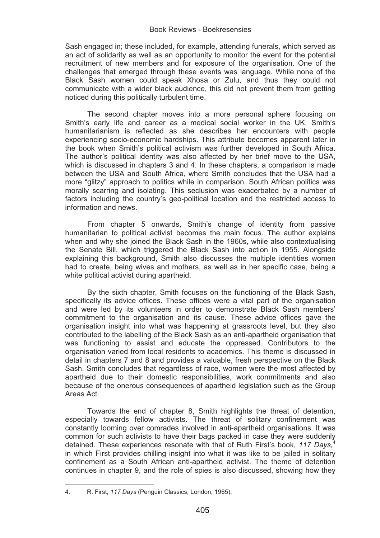Sash engaged in; these included, for example, attending funerals, which served as an act of solidarity as well as an opportunity to monitor the event for the potential recruitment of new members and for exposure of the organisation. One of the challenges that emerged through these events was language. While none of the Black Sash women could speak Xhosa or Zulu, and thus they could not communicate with a wider black audience, this did not prevent them from getting noticed during this politically turbulent time.

The second chapter moves into a more personal sphere focusing on Smith's early life and career as a medical social worker in the UK. Smith's humanitarianism is reflected as she describes her encounters with people experiencing socio-economic hardships. This attribute becomes apparent later in the book when Smith's political activism was further developed in South Africa. The author's political identity was also affected by her brief move to the USA, which is discussed in chapters 3 and 4. In these chapters, a comparison is made between the USA and South Africa, where Smith concludes that the USA had a more "glitzy" approach to politics while in comparison, South African politics was morally scarring and isolating. This seclusion was exacerbated by a number of factors including the country's geo-political location and the restricted access to information and news.

From chapter 5 onwards, Smith's change of identity from passive humanitarian to political activist becomes the main focus. The author explains when and why she joined the Black Sash in the 1960s, while also contextualising the Senate Bill, which triggered the Black Sash into action in 1955. Alongside explaining this background, Smith also discusses the multiple identities women had to create, being wives and mothers, as well as in her specific case, being a white political activist during apartheid.

By the sixth chapter, Smith focuses on the functioning of the Black Sash, specifically its advice offices. These offices were a vital part of the organisation and were led by its volunteers in order to demonstrate Black Sash members' commitment to the organisation and its cause. These advice offices gave the organisation insight into what was happening at grassroots level, but they also contributed to the labelling of the Black Sash as an anti-apartheid organisation that was functioning to assist and educate the oppressed. Contributors to the organisation varied from local residents to academics. This theme is discussed in detail in chapters 7 and 8 and provides a valuable, fresh perspective on the Black Sash. Smith concludes that regardless of race, women were the most affected by apartheid due to their domestic responsibilities, work commitments and also because of the onerous consequences of apartheid legislation such as the Group Areas Act.

Towards the end of chapter 8, Smith highlights the threat of detention, especially towards fellow activists. The threat of solitary confinement was constantly looming over comrades involved in anti-apartheid organisations. It was common for such activists to have their bags packed in case they were suddenly detained. These experiences resonate with that of Ruth First's book, *117 Days,*<sup>4</sup> in which First provides chilling insight into what it was like to be jailed in solitary confinement as a South African anti-apartheid activist. The theme of detention continues in chapter 9, and the role of spies is also discussed, showing how they

 $\overline{a}$ 

<sup>4.</sup> R. First, *117 Days* (Penguin Classics, London, 1965).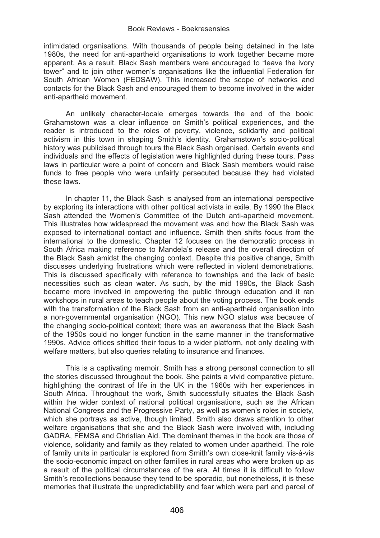intimidated organisations. With thousands of people being detained in the late 1980s, the need for anti-apartheid organisations to work together became more apparent. As a result, Black Sash members were encouraged to "leave the ivory tower" and to join other women's organisations like the influential Federation for South African Women (FEDSAW). This increased the scope of networks and contacts for the Black Sash and encouraged them to become involved in the wider anti-apartheid movement.

An unlikely character-locale emerges towards the end of the book: Grahamstown was a clear influence on Smith's political experiences, and the reader is introduced to the roles of poverty, violence, solidarity and political activism in this town in shaping Smith's identity. Grahamstown's socio-political history was publicised through tours the Black Sash organised. Certain events and individuals and the effects of legislation were highlighted during these tours. Pass laws in particular were a point of concern and Black Sash members would raise funds to free people who were unfairly persecuted because they had violated these laws.

In chapter 11, the Black Sash is analysed from an international perspective by exploring its interactions with other political activists in exile. By 1990 the Black Sash attended the Women's Committee of the Dutch anti-apartheid movement. This illustrates how widespread the movement was and how the Black Sash was exposed to international contact and influence. Smith then shifts focus from the international to the domestic. Chapter 12 focuses on the democratic process in South Africa making reference to Mandela's release and the overall direction of the Black Sash amidst the changing context. Despite this positive change, Smith discusses underlying frustrations which were reflected in violent demonstrations. This is discussed specifically with reference to townships and the lack of basic necessities such as clean water. As such, by the mid 1990s, the Black Sash became more involved in empowering the public through education and it ran workshops in rural areas to teach people about the voting process. The book ends with the transformation of the Black Sash from an anti-apartheid organisation into a non-governmental organisation (NGO). This new NGO status was because of the changing socio-political context; there was an awareness that the Black Sash of the 1950s could no longer function in the same manner in the transformative 1990s. Advice offices shifted their focus to a wider platform, not only dealing with welfare matters, but also queries relating to insurance and finances.

This is a captivating memoir. Smith has a strong personal connection to all the stories discussed throughout the book. She paints a vivid comparative picture, highlighting the contrast of life in the UK in the 1960s with her experiences in South Africa. Throughout the work, Smith successfully situates the Black Sash within the wider context of national political organisations, such as the African National Congress and the Progressive Party, as well as women's roles in society, which she portrays as active, though limited. Smith also draws attention to other welfare organisations that she and the Black Sash were involved with, including GADRA, FEMSA and Christian Aid. The dominant themes in the book are those of violence, solidarity and family as they related to women under apartheid. The role of family units in particular is explored from Smith's own close-knit family vis-à-vis the socio-economic impact on other families in rural areas who were broken up as a result of the political circumstances of the era. At times it is difficult to follow Smith's recollections because they tend to be sporadic, but nonetheless, it is these memories that illustrate the unpredictability and fear which were part and parcel of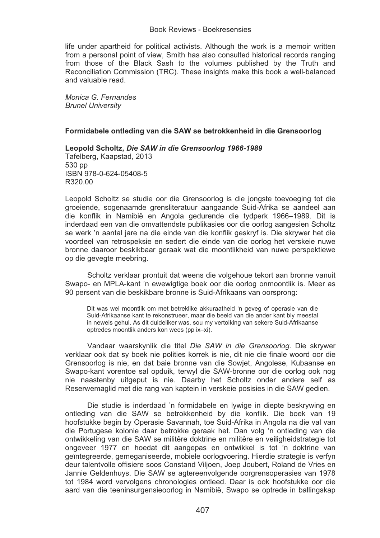life under apartheid for political activists. Although the work is a memoir written from a personal point of view, Smith has also consulted historical records ranging from those of the Black Sash to the volumes published by the Truth and Reconciliation Commission (TRC). These insights make this book a well-balanced and valuable read.

*Monica G. Fernandes Brunel University* 

# **Formidabele ontleding van die SAW se betrokkenheid in die Grensoorlog**

# **Leopold Scholtz,** *Die SAW in die Grensoorlog 1966-1989*

Tafelberg, Kaapstad, 2013 530 pp ISBN 978-0-624-05408-5 R320.00

Leopold Scholtz se studie oor die Grensoorlog is die jongste toevoeging tot die groeiende, sogenaamde grensliteratuur aangaande Suid-Afrika se aandeel aan die konflik in Namibië en Angola gedurende die tydperk 1966–1989. Dit is inderdaad een van die omvattendste publikasies oor die oorlog aangesien Scholtz se werk 'n aantal jare na die einde van die konflik geskryf is. Die skrywer het die voordeel van retrospeksie en sedert die einde van die oorlog het verskeie nuwe bronne daaroor beskikbaar geraak wat die moontlikheid van nuwe perspektiewe op die gevegte meebring.

Scholtz verklaar prontuit dat weens die volgehoue tekort aan bronne vanuit Swapo- en MPLA-kant 'n ewewigtige boek oor die oorlog onmoontlik is. Meer as 90 persent van die beskikbare bronne is Suid-Afrikaans van oorsprong:

Dit was wel moontlik om met betreklike akkuraatheid 'n geveg of operasie van die Suid-Afrikaanse kant te rekonstrueer, maar die beeld van die ander kant bly meestal in newels gehul. As dit duideliker was, sou my vertolking van sekere Suid-Afrikaanse optredes moontlik anders kon wees (pp ix–xi).

Vandaar waarskynlik die titel *Die SAW in die Grensoorlog*. Die skrywer verklaar ook dat sy boek nie polities korrek is nie, dit nie die finale woord oor die Grensoorlog is nie, en dat baie bronne van die Sowjet, Angolese, Kubaanse en Swapo-kant vorentoe sal opduik, terwyl die SAW-bronne oor die oorlog ook nog nie naastenby uitgeput is nie. Daarby het Scholtz onder andere self as Reserwemaglid met die rang van kaptein in verskeie posisies in die SAW gedien.

Die studie is inderdaad 'n formidabele en lywige in diepte beskrywing en ontleding van die SAW se betrokkenheid by die konflik. Die boek van 19 hoofstukke begin by Operasie Savannah, toe Suid-Afrika in Angola na die val van die Portugese kolonie daar betrokke geraak het. Dan volg 'n ontleding van die ontwikkeling van die SAW se militêre doktrine en militêre en veiligheidstrategie tot ongeveer 1977 en hoedat dit aangepas en ontwikkel is tot 'n doktrine van geïntegreerde, gemeganiseerde, mobiele oorlogvoering. Hierdie strategie is verfyn deur talentvolle offisiere soos Constand Viljoen, Joep Joubert, Roland de Vries en Jannie Geldenhuys. Die SAW se agtereenvolgende oorgrensoperasies van 1978 tot 1984 word vervolgens chronologies ontleed. Daar is ook hoofstukke oor die aard van die teeninsurgensieoorlog in Namibië, Swapo se optrede in ballingskap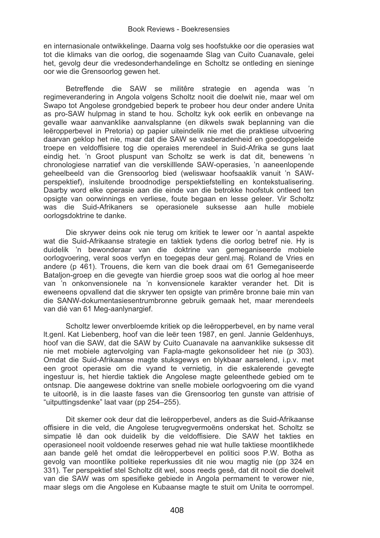en internasionale ontwikkelinge. Daarna volg ses hoofstukke oor die operasies wat tot die klimaks van die oorlog, die sogenaamde Slag van Cuito Cuanavale, gelei het, gevolg deur die vredesonderhandelinge en Scholtz se ontleding en sieninge oor wie die Grensoorlog gewen het.

Betreffende die SAW se militêre strategie en agenda was 'n regimeverandering in Angola volgens Scholtz nooit die doelwit nie, maar wel om Swapo tot Angolese grondgebied beperk te probeer hou deur onder andere Unita as pro-SAW hulpmag in stand te hou. Scholtz kyk ook eerlik en onbevange na gevalle waar aanvanklike aanvalsplanne (en dikwels swak beplanning van die leëropperbevel in Pretoria) op papier uiteindelik nie met die praktiese uitvoering daarvan geklop het nie, maar dat die SAW se vasberadenheid en goedopgeleide troepe en veldoffisiere tog die operaies merendeel in Suid-Afrika se guns laat eindig het. 'n Groot pluspunt van Scholtz se werk is dat dit, benewens 'n chronologiese narratief van die verskilllende SAW-operasies, 'n aaneenlopende geheelbeeld van die Grensoorlog bied (weliswaar hoofsaaklik vanuit 'n SAWperspektief), insluitende broodnodige perspektiefstelling en kontekstualisering. Daarby word elke operasie aan die einde van die betrokke hoofstuk ontleed ten opsigte van oorwinnings en verliese, foute begaan en lesse geleer. Vir Scholtz was die Suid-Afrikaners se operasionele suksesse aan hulle mobiele oorlogsdoktrine te danke.

Die skrywer deins ook nie terug om kritiek te lewer oor 'n aantal aspekte wat die Suid-Afrikaanse strategie en taktiek tydens die oorlog betref nie. Hy is duidelik 'n bewonderaar van die doktrine van gemeganiseerde mobiele oorlogvoering, veral soos verfyn en toegepas deur genl.maj. Roland de Vries en andere (p 461). Trouens, die kern van die boek draai om 61 Gemeganiseerde Batalion-groep en die gevegte van hierdie groep soos wat die oorlog al hoe meer van 'n onkonvensionele na 'n konvensionele karakter verander het. Dit is eweneens opvallend dat die skrywer ten opsigte van primêre bronne baie min van die SANW-dokumentasiesentrumbronne gebruik gemaak het, maar merendeels van dié van 61 Meg-aanlynargief.

Scholtz lewer onverbloemde kritiek op die leëropperbevel, en by name veral lt.genl. Kat Liebenberg, hoof van die leër teen 1987, en genl. Jannie Geldenhuys, hoof van die SAW, dat die SAW by Cuito Cuanavale na aanvanklike suksesse dit nie met mobiele agtervolging van Fapla-magte gekonsolideer het nie (p 303). Omdat die Suid-Afrikaanse magte stuksgewys en blykbaar aarselend, i.p.v. met een groot operasie om die vyand te vernietig, in die eskalerende gevegte ingestuur is, het hierdie taktiek die Angolese magte geleenthede gebied om te ontsnap. Die aangewese doktrine van snelle mobiele oorlogvoering om die vyand te uitoorlê, is in die laaste fases van die Grensoorlog ten gunste van attrisie of "uitputtingsdenke" laat vaar (pp 254–255).

Dit skemer ook deur dat die leëropperbevel, anders as die Suid-Afrikaanse offisiere in die veld, die Angolese terugvegvermoëns onderskat het. Scholtz se simpatie lê dan ook duidelik by die veldoffisiere. Die SAW het takties en operasioneel nooit voldoende reserwes gehad nie wat hulle taktiese moontlikhede aan bande gelê het omdat die leëropperbevel en politici soos P.W. Botha as gevolg van moontlike politieke reperkussies dit nie wou magtig nie (pp 324 en 331). Ter perspektief stel Scholtz dit wel, soos reeds gesê, dat dit nooit die doelwit van die SAW was om spesifieke gebiede in Angola permament te verower nie, maar slegs om die Angolese en Kubaanse magte te stuit om Unita te oorrompel.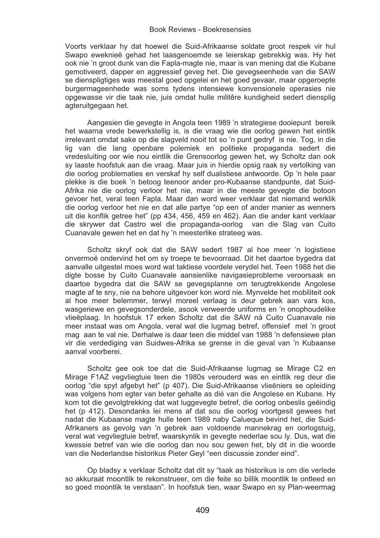Voorts verklaar hy dat hoewel die Suid-Afrikaanse soldate groot respek vir hul Swapo eweknieë gehad het laasgenoemde se leierskap gebrekkig was. Hy het ook nie 'n groot dunk van die Fapla-magte nie, maar is van mening dat die Kubane gemotiveerd, dapper en aggressief geveg het. Die gevegseenhede van die SAW se dienspligtiges was meestal goed opgelei en het goed gevaar, maar opgeroepte burgermageenhede was soms tydens intensiewe konvensionele operasies nie opgewasse vir die taak nie, juis omdat hulle militêre kundigheid sedert diensplig agteruitgegaan het.

Aangesien die gevegte in Angola teen 1989 'n strategiese dooiepunt bereik het waarna vrede bewerkstellig is, is die vraag wie die oorlog gewen het eintlik irrelevant omdat sake op die slagveld nooit tot so 'n punt gedryf is nie. Tog, in die lig van die lang openbare polemiek en politieke propaganda sedert die vredesluiting oor wie nou eintlik die Grensoorlog gewen het, wy Scholtz dan ook sy laaste hoofstuk aan die vraag. Maar juis in hierdie opsig raak sy vertolking van die oorlog problematies en verskaf hy self dualistiese antwoorde. Op 'n hele paar plekke is die boek 'n betoog teenoor ander pro-Kubaanse standpunte, dat Suid-Afrika nie die oorlog verloor het nie, maar in die meeste gevegte die botoon gevoer het, veral teen Fapla. Maar dan word weer verklaar dat niemand werklik die oorlog verloor het nie en dat alle partye "op een of ander manier as wenners uit die konflik getree het" (pp 434, 456, 459 en 462). Aan die ander kant verklaar die skrywer dat Castro wel die propaganda-oorlog van die Slag van Cuito Cuanavale gewen het en dat hy 'n meesterlike strateeg was.

Scholtz skryf ook dat die SAW sedert 1987 al hoe meer 'n logistiese onvermoë ondervind het om sy troepe te bevoorraad. Dit het daartoe bygedra dat aanvalle uitgestel moes word wat taktiese voordele verydel het. Teen 1988 het die digte bosse by Cuito Cuanavale aansienlike navigasieprobleme veroorsaak en daartoe bygedra dat die SAW se gevegsplanne om terugtrekkende Angolese magte af te sny, nie na behore uitgevoer kon word nie. Mynvelde het mobiliteit ook al hoe meer belemmer, terwyl moreel verlaag is deur gebrek aan vars kos, wasgeriewe en gevegsonderdele, asook verweerde uniforms en 'n onophoudelike vlieëplaag. In hoofstuk 17 erken Scholtz dat die SAW ná Cuito Cuanavale nie meer instaat was om Angola, veral wat die lugmag betref, offensief met 'n groot mag aan te val nie. Derhalwe is daar teen die middel van 1988 'n defensiewe plan vir die verdediging van Suidwes-Afrika se grense in die geval van 'n Kubaanse aanval voorberei.

Scholtz gee ook toe dat die Suid-Afrikaanse lugmag se Mirage C2 en Mirage F1AZ vegvliegtuie teen die 1980s verouderd was en eintlik reg deur die oorlog "die spyt afgebyt het" (p 407). Die Suid-Afrikaanse vlieëniers se opleiding was volgens hom egter van beter gehalte as dié van die Angolese en Kubane. Hy kom tot die gevolgtrekking dat wat luggevegte betref, die oorlog onbeslis geëindig het (p 412). Desondanks lei mens af dat sou die oorlog voortgesit gewees het nadat die Kubaanse magte hulle teen 1989 naby Calueque bevind het, die Suid-Afrikaners as gevolg van 'n gebrek aan voldoende mannekrag en oorlogstuig, veral wat vegvliegtuie betref, waarskynlik in gevegte nederlae sou ly. Dus, wat die kwessie betref van wie die oorlog dan nou sou gewen het, bly dit in die woorde van die Nederlandse historikus Pieter Geyl "een discussie zonder eind".

Op bladsy x verklaar Scholtz dat dit sy "taak as historikus is om die verlede so akkuraat moontlik te rekonstrueer, om die feite so billik moontlik te ontleed en so goed moontlik te verstaan". In hoofstuk tien, waar Swapo en sy Plan-weermag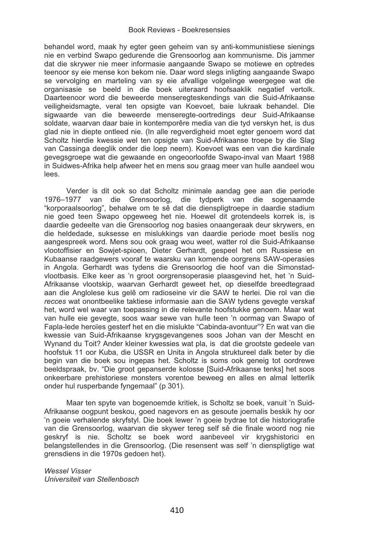behandel word, maak hy egter geen geheim van sy anti-kommunistiese sienings nie en verbind Swapo gedurende die Grensoorlog aan kommunisme. Dis jammer dat die skrywer nie meer informasie aangaande Swapo se motiewe en optredes teenoor sy eie mense kon bekom nie. Daar word slegs inligting aangaande Swapo se vervolging en marteling van sy eie afvallige volgelinge weergegee wat die organisasie se beeld in die boek uiteraard hoofsaaklik negatief vertolk. Daarteenoor word die beweerde menseregteskendings van die Suid-Afrikaanse veiligheidsmagte, veral ten opsigte van Koevoet, baie lukraak behandel. Die sigwaarde van die beweerde menseregte-oortredings deur Suid-Afrikaanse soldate, waarvan daar baie in kontemporêre media van die tyd verskyn het, is dus glad nie in diepte ontleed nie. (In alle regverdigheid moet egter genoem word dat Scholtz hierdie kwessie wel ten opsigte van Suid-Afrikaanse troepe by die Slag van Cassinga deeglik onder die loep neem). Koevoet was een van die kardinale gevegsgroepe wat die gewaande en ongeoorloofde Swapo-inval van Maart 1988 in Suidwes-Afrika help afweer het en mens sou graag meer van hulle aandeel wou lees.

Verder is dit ook so dat Scholtz minimale aandag gee aan die periode 1976–1977 van die Grensoorlog, die tydperk van die sogenaamde "korporaalsoorlog", behalwe om te sê dat die dienspligtroepe in daardie stadium nie goed teen Swapo opgeweeg het nie. Hoewel dit grotendeels korrek is, is daardie gedeelte van die Grensoorlog nog basies onaangeraak deur skrywers, en die heldedade, suksesse en mislukkings van daardie periode moet beslis nog aangespreek word. Mens sou ook graag wou weet, watter rol die Suid-Afrikaanse vlootoffisier en Sowjet-spioen, Dieter Gerhardt, gespeel het om Russiese en Kubaanse raadgewers vooraf te waarsku van komende oorgrens SAW-operasies in Angola. Gerhardt was tydens die Grensoorlog die hoof van die Simonstadvlootbasis. Elke keer as 'n groot oorgrensoperasie plaasgevind het, het 'n Suid-Afrikaanse vlootskip, waarvan Gerhardt geweet het, op dieselfde breedtegraad aan die Anglolese kus gelê om radioseine vir die SAW te herlei. Die rol van die *recces* wat onontbeelike taktiese informasie aan die SAW tydens gevegte verskaf het, word wel waar van toepassing in die relevante hoofstukke genoem. Maar wat van hulle eie gevegte, soos waar sewe van hulle teen 'n oormag van Swapo of Fapla-lede heroïes gesterf het en die mislukte "Cabinda-avontuur"? En wat van die kwessie van Suid-Afrikaanse krygsgevangenes soos Johan van der Mescht en Wynand du Toit? Ander kleiner kwessies wat pla, is dat die grootste gedeele van hoofstuk 11 oor Kuba, die USSR en Unita in Angola struktureel dalk beter by die begin van die boek sou ingepas het. Scholtz is soms ook geneig tot oordrewe beeldspraak, bv. "Die groot gepanserde kolosse [Suid-Afrikaanse tenks] het soos onkeerbare prehistoriese monsters vorentoe beweeg en alles en almal letterlik onder hul rusperbande fyngemaal" (p 301).

Maar ten spyte van bogenoemde kritiek, is Scholtz se boek, vanuit 'n Suid-Afrikaanse oogpunt beskou, goed nagevors en as gesoute joernalis beskik hy oor 'n goeie verhalende skryfstyl. Die boek lewer 'n goeie bydrae tot die historiografie van die Grensoorlog, waarvan die skywer tereg self sê die finale woord nog nie geskryf is nie. Scholtz se boek word aanbeveel vir krygshistorici en belangstellendes in die Grensoorlog. (Die resensent was self 'n dienspligtige wat grensdiens in die 1970s gedoen het).

*Wessel Visser Universiteit van Stellenbosch*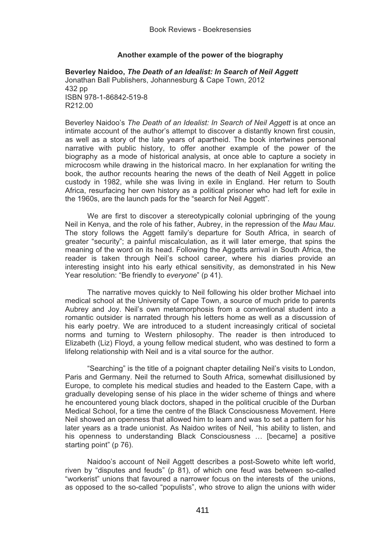# **Another example of the power of the biography**

**Beverley Naidoo,** *The Death of an Idealist: In Search of Neil Aggett* Jonathan Ball Publishers, Johannesburg & Cape Town, 2012  $432$  pp ISBN 978-1-86842-519-8 R212.00

Beverley Naidoo's *The Death of an Idealist: In Search of Neil Aggett* is at once an intimate account of the author's attempt to discover a distantly known first cousin, as well as a story of the late years of apartheid. The book intertwines personal narrative with public history, to offer another example of the power of the biography as a mode of historical analysis, at once able to capture a society in microcosm while drawing in the historical macro. In her explanation for writing the book, the author recounts hearing the news of the death of Neil Aggett in police custody in 1982, while she was living in exile in England. Her return to South Africa, resurfacing her own history as a political prisoner who had left for exile in the 1960s, are the launch pads for the "search for Neil Aggett".

We are first to discover a stereotypically colonial upbringing of the young Neil in Kenya, and the role of his father, Aubrey, in the repression of the *Mau Mau*. The story follows the Aggett family's departure for South Africa, in search of greater "security"; a painful miscalculation, as it will later emerge, that spins the meaning of the word on its head. Following the Aggetts arrival in South Africa, the reader is taken through Neil's school career, where his diaries provide an interesting insight into his early ethical sensitivity, as demonstrated in his New Year resolution: "Be friendly to *everyone*" (p 41).

The narrative moves quickly to Neil following his older brother Michael into medical school at the University of Cape Town, a source of much pride to parents Aubrey and Joy. Neil's own metamorphosis from a conventional student into a romantic outsider is narrated through his letters home as well as a discussion of his early poetry. We are introduced to a student increasingly critical of societal norms and turning to Western philosophy. The reader is then introduced to Elizabeth (Liz) Floyd, a young fellow medical student, who was destined to form a lifelong relationship with Neil and is a vital source for the author.

"Searching" is the title of a poignant chapter detailing Neil's visits to London, Paris and Germany. Neil the returned to South Africa, somewhat disillusioned by Europe, to complete his medical studies and headed to the Eastern Cape, with a gradually developing sense of his place in the wider scheme of things and where he encountered young black doctors, shaped in the political crucible of the Durban Medical School, for a time the centre of the Black Consciousness Movement. Here Neil showed an openness that allowed him to learn and was to set a pattern for his later years as a trade unionist. As Naidoo writes of Neil, "his ability to listen, and his openness to understanding Black Consciousness … [became] a positive starting point" (p 76).

Naidoo's account of Neil Aggett describes a post-Soweto white left world, riven by "disputes and feuds" (p 81), of which one feud was between so-called "workerist" unions that favoured a narrower focus on the interests of the unions, as opposed to the so-called "populists", who strove to align the unions with wider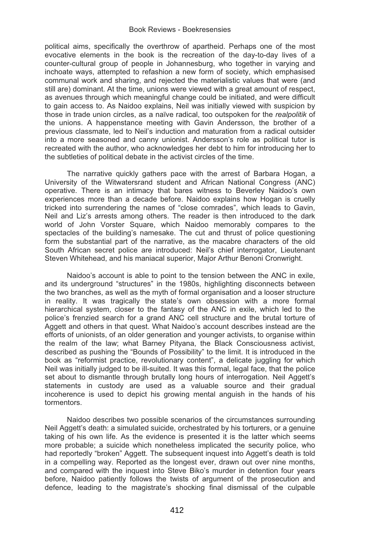political aims, specifically the overthrow of apartheid. Perhaps one of the most evocative elements in the book is the recreation of the day-to-day lives of a counter-cultural group of people in Johannesburg, who together in varying and inchoate ways, attempted to refashion a new form of society, which emphasised communal work and sharing, and rejected the materialistic values that were (and still are) dominant. At the time, unions were viewed with a great amount of respect, as avenues through which meaningful change could be initiated, and were difficult to gain access to. As Naidoo explains, Neil was initially viewed with suspicion by those in trade union circles, as a naïve radical, too outspoken for the *realpolitik* of the unions. A happenstance meeting with Gavin Andersson, the brother of a previous classmate, led to Neil's induction and maturation from a radical outsider into a more seasoned and canny unionist. Andersson's role as political tutor is recreated with the author, who acknowledges her debt to him for introducing her to the subtleties of political debate in the activist circles of the time.

The narrative quickly gathers pace with the arrest of Barbara Hogan, a University of the Witwatersrand student and African National Congress (ANC) operative. There is an intimacy that bares witness to Beverley Naidoo's own experiences more than a decade before. Naidoo explains how Hogan is cruelly tricked into surrendering the names of "close comrades", which leads to Gavin, Neil and Liz's arrests among others. The reader is then introduced to the dark world of John Vorster Square, which Naidoo memorably compares to the spectacles of the building's namesake. The cut and thrust of police questioning form the substantial part of the narrative, as the macabre characters of the old South African secret police are introduced: Neil's chief interrogator, Lieutenant Steven Whitehead, and his maniacal superior, Major Arthur Benoni Cronwright.

Naidoo's account is able to point to the tension between the ANC in exile, and its underground "structures" in the 1980s, highlighting disconnects between the two branches, as well as the myth of formal organisation and a looser structure in reality. It was tragically the state's own obsession with a more formal hierarchical system, closer to the fantasy of the ANC in exile, which led to the police's frenzied search for a grand ANC cell structure and the brutal torture of Aggett and others in that quest. What Naidoo's account describes instead are the efforts of unionists, of an older generation and younger activists, to organise within the realm of the law; what Barney Pityana, the Black Consciousness activist, described as pushing the "Bounds of Possibility" to the limit. It is introduced in the book as "reformist practice, revolutionary content", a delicate juggling for which Neil was initially judged to be ill-suited. It was this formal, legal face, that the police set about to dismantle through brutally long hours of interrogation. Neil Aggett's statements in custody are used as a valuable source and their gradual incoherence is used to depict his growing mental anguish in the hands of his tormentors.

Naidoo describes two possible scenarios of the circumstances surrounding Neil Aggett's death: a simulated suicide, orchestrated by his torturers, or a genuine taking of his own life. As the evidence is presented it is the latter which seems more probable; a suicide which nonetheless implicated the security police, who had reportedly "broken" Aggett. The subsequent inquest into Aggett's death is told in a compelling way. Reported as the longest ever, drawn out over nine months, and compared with the inquest into Steve Biko's murder in detention four years before, Naidoo patiently follows the twists of argument of the prosecution and defence, leading to the magistrate's shocking final dismissal of the culpable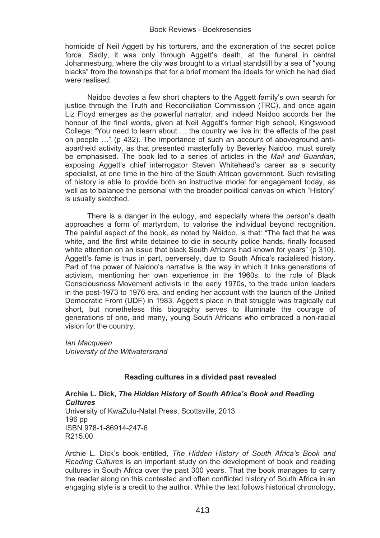homicide of Neil Aggett by his torturers, and the exoneration of the secret police force. Sadly, it was only through Aggett's death, at the funeral in central Johannesburg, where the city was brought to a virtual standstill by a sea of "young blacks" from the townships that for a brief moment the ideals for which he had died were realised.

Naidoo devotes a few short chapters to the Aggett family's own search for justice through the Truth and Reconciliation Commission (TRC), and once again Liz Floyd emerges as the powerful narrator, and indeed Naidoo accords her the honour of the final words, given at Neil Aggett's former high school, Kingswood College: "You need to learn about … the country we live in: the effects of the past on people …" (p 432). The importance of such an account of aboveground antiapartheid activity, as that presented masterfully by Beverley Naidoo, must surely be emphasised. The book led to a series of articles in the *Mail and Guardian*, exposing Aggett's chief interrogator Steven Whitehead's career as a security specialist, at one time in the hire of the South African government. Such revisiting of history is able to provide both an instructive model for engagement today, as well as to balance the personal with the broader political canvas on which "History" is usually sketched.

There is a danger in the eulogy, and especially where the person's death approaches a form of martyrdom, to valorise the individual beyond recognition. The painful aspect of the book, as noted by Naidoo, is that: "The fact that he was white, and the first white detainee to die in security police hands, finally focused white attention on an issue that black South Africans had known for years" (p 310). Aggett's fame is thus in part, perversely, due to South Africa's racialised history. Part of the power of Naidoo's narrative is the way in which it links generations of activism, mentioning her own experience in the 1960s, to the role of Black Consciousness Movement activists in the early 1970s, to the trade union leaders in the post-1973 to 1976 era, and ending her account with the launch of the United Democratic Front (UDF) in 1983. Aggett's place in that struggle was tragically cut short, but nonetheless this biography serves to illuminate the courage of generations of one, and many, young South Africans who embraced a non-racial vision for the country.

*Ian Macqueen University of the Witwatersrand* 

# **Reading cultures in a divided past revealed**

**Archie L. Dick,** *The Hidden History of South Africa's Book and Reading Cultures* University of KwaZulu-Natal Press, Scottsville, 2013 196 pp ISBN 978-1-86914-247-6 R215.00

Archie L. Dick's book entitled, *The Hidden History of South Africa's Book and Reading Cultures* is an important study on the development of book and reading cultures in South Africa over the past 300 years. That the book manages to carry the reader along on this contested and often conflicted history of South Africa in an engaging style is a credit to the author. While the text follows historical chronology,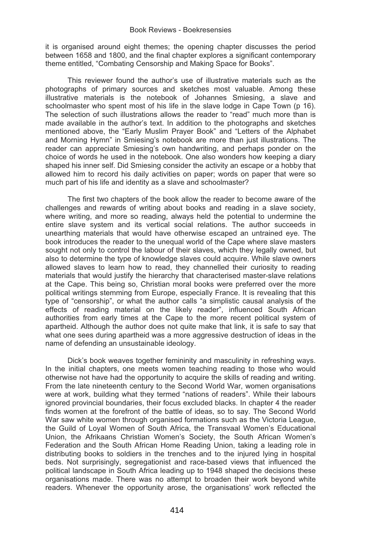it is organised around eight themes; the opening chapter discusses the period between 1658 and 1800, and the final chapter explores a significant contemporary theme entitled, "Combating Censorship and Making Space for Books".

This reviewer found the author's use of illustrative materials such as the photographs of primary sources and sketches most valuable. Among these illustrative materials is the notebook of Johannes Smiesing, a slave and schoolmaster who spent most of his life in the slave lodge in Cape Town (p 16). The selection of such illustrations allows the reader to "read" much more than is made available in the author's text. In addition to the photographs and sketches mentioned above, the "Early Muslim Prayer Book" and "Letters of the Alphabet and Morning Hymn" in Smiesing's notebook are more than just illustrations. The reader can appreciate Smiesing's own handwriting, and perhaps ponder on the choice of words he used in the notebook. One also wonders how keeping a diary shaped his inner self. Did Smiesing consider the activity an escape or a hobby that allowed him to record his daily activities on paper; words on paper that were so much part of his life and identity as a slave and schoolmaster?

The first two chapters of the book allow the reader to become aware of the challenges and rewards of writing about books and reading in a slave society, where writing, and more so reading, always held the potential to undermine the entire slave system and its vertical social relations. The author succeeds in unearthing materials that would have otherwise escaped an untrained eye. The book introduces the reader to the unequal world of the Cape where slave masters sought not only to control the labour of their slaves, which they legally owned, but also to determine the type of knowledge slaves could acquire. While slave owners allowed slaves to learn how to read, they channelled their curiosity to reading materials that would justify the hierarchy that characterised master-slave relations at the Cape. This being so, Christian moral books were preferred over the more political writings stemming from Europe, especially France. It is revealing that this type of "censorship", or what the author calls "a simplistic causal analysis of the effects of reading material on the likely reader", influenced South African authorities from early times at the Cape to the more recent political system of apartheid. Although the author does not quite make that link, it is safe to say that what one sees during apartheid was a more aggressive destruction of ideas in the name of defending an unsustainable ideology.

Dick's book weaves together femininity and masculinity in refreshing ways. In the initial chapters, one meets women teaching reading to those who would otherwise not have had the opportunity to acquire the skills of reading and writing. From the late nineteenth century to the Second World War, women organisations were at work, building what they termed "nations of readers". While their labours ignored provincial boundaries, their focus excluded blacks. In chapter 4 the reader finds women at the forefront of the battle of ideas, so to say. The Second World War saw white women through organised formations such as the Victoria League. the Guild of Loyal Women of South Africa, the Transvaal Women's Educational Union, the Afrikaans Christian Women's Society, the South African Women's Federation and the South African Home Reading Union, taking a leading role in distributing books to soldiers in the trenches and to the injured lying in hospital beds. Not surprisingly, segregationist and race-based views that influenced the political landscape in South Africa leading up to 1948 shaped the decisions these organisations made. There was no attempt to broaden their work beyond white readers. Whenever the opportunity arose, the organisations' work reflected the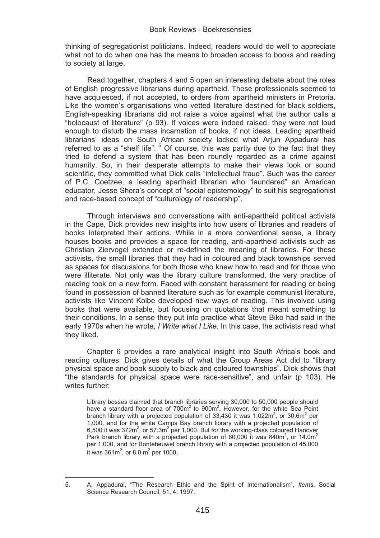thinking of segregationist politicians. Indeed, readers would do well to appreciate what not to do when one has the means to broaden access to books and reading to society at large.

Read together, chapters 4 and 5 open an interesting debate about the roles of English progressive librarians during apartheid. These professionals seemed to have acquiesced, if not accepted, to orders from apartheid ministers in Pretoria. Like the women's organisations who vetted literature destined for black soldiers, English-speaking librarians did not raise a voice against what the author calls a "holocaust of literature" (p 93). If voices were indeed raised, they were not loud enough to disturb the mass incarnation of books, if not ideas. Leading apartheid librarians' ideas on South African society lacked what Arjun Appadurai has referred to as a "shelf life". <sup>5</sup> Of course, this was partly due to the fact that they tried to defend a system that has been roundly regarded as a crime against humanity. So, in their desperate attempts to make their views look or sound scientific, they committed what Dick calls "intellectual fraud". Such was the career of P.C. Coetzee, a leading apartheid librarian who "laundered" an American educator, Jesse Shera's concept of "social epistemology" to suit his segregationist and race-based concept of "culturology of readership".

Through interviews and conversations with anti-apartheid political activists in the Cape, Dick provides new insights into how users of libraries and readers of books interpreted their actions. While in a more conventional sense, a library houses books and provides a space for reading, anti-apartheid activists such as Christian Ziervogel extended or re-defined the meaning of libraries. For these activists, the small libraries that they had in coloured and black townships served as spaces for discussions for both those who knew how to read and for those who were illiterate. Not only was the library culture transformed, the very practice of reading took on a new form. Faced with constant harassment for reading or being found in possession of banned literature such as for example communist literature, activists like Vincent Kolbe developed new ways of reading. This involved using books that were available, but focusing on quotations that meant something to their conditions. In a sense they put into practice what Steve Biko had said in the early 1970s when he wrote, *I Write what I Like*. In this case, the activists read what they liked.

Chapter 6 provides a rare analytical insight into South Africa's book and reading cultures. Dick gives details of what the Group Areas Act did to "library physical space and book supply to black and coloured townships". Dick shows that "the standards for physical space were race-sensitive", and unfair (p 103). He writes further:

Library bosses claimed that branch libraries serving 30,000 to 50,000 people should have a standard floor area of 700m<sup>2</sup> to 900m<sup>2</sup>. However, for the white Sea Point<br>branch library with a projected population of 33,430 it was 1,022m<sup>2</sup>, or 30.6m<sup>2</sup> per 1,000, and for the white Camps Bay branch library with a projected population of 6,500 it was 372 $m^2$ , or 57.3 $m^2$  per 1,000. But for the working-class coloured Hanover Park branch library with a projected population of 60,000 it was 840m<sup>2</sup>, or 14.0m<sup>2</sup> per 1,000, and for Bonteheuwel branch library with a projected population of 45,000 it was 361 $m^2$ , or 8.0  $m^2$  per 1000.

 $\overline{a}$ 

<sup>5.</sup> A. Appadurai, "The Research Ethic and the Spirit of Internationalism", *Items*, Social Science Research Council, 51, 4, 1997.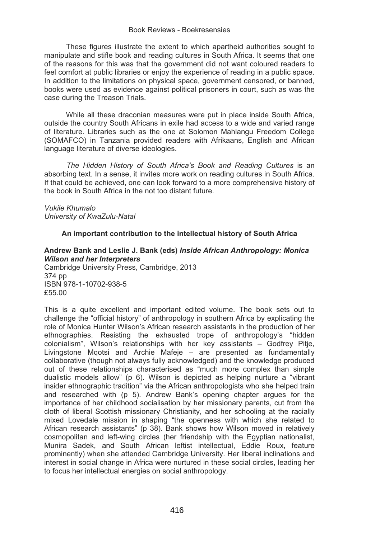These figures illustrate the extent to which apartheid authorities sought to manipulate and stifle book and reading cultures in South Africa. It seems that one of the reasons for this was that the government did not want coloured readers to feel comfort at public libraries or enjoy the experience of reading in a public space. In addition to the limitations on physical space, government censored, or banned, books were used as evidence against political prisoners in court, such as was the case during the Treason Trials.

While all these draconian measures were put in place inside South Africa, outside the country South Africans in exile had access to a wide and varied range of literature. Libraries such as the one at Solomon Mahlangu Freedom College (SOMAFCO) in Tanzania provided readers with Afrikaans, English and African language literature of diverse ideologies.

*The Hidden History of South Africa's Book and Reading Cultures* is an absorbing text. In a sense, it invites more work on reading cultures in South Africa. If that could be achieved, one can look forward to a more comprehensive history of the book in South Africa in the not too distant future.

# *Vukile Khumalo University of KwaZulu-Natal*

# **An important contribution to the intellectual history of South Africa**

# **Andrew Bank and Leslie J. Bank (eds)** *Inside African Anthropology: Monica Wilson and her Interpreters*

Cambridge University Press, Cambridge, 2013 374 pp ISBN 978-1-10702-938-5 £55.00

This is a quite excellent and important edited volume. The book sets out to challenge the "official history" of anthropology in southern Africa by explicating the role of Monica Hunter Wilson's African research assistants in the production of her ethnographies. Resisting the exhausted trope of anthropology's "hidden colonialism", Wilson's relationships with her key assistants – Godfrey Pitje, Livingstone Mqotsi and Archie Mafeje – are presented as fundamentally collaborative (though not always fully acknowledged) and the knowledge produced out of these relationships characterised as "much more complex than simple dualistic models allow" (p 6). Wilson is depicted as helping nurture a "vibrant insider ethnographic tradition" via the African anthropologists who she helped train and researched with (p 5). Andrew Bank's opening chapter argues for the importance of her childhood socialisation by her missionary parents, cut from the cloth of liberal Scottish missionary Christianity, and her schooling at the racially mixed Lovedale mission in shaping "the openness with which she related to African research assistants" (p 38). Bank shows how Wilson moved in relatively cosmopolitan and left-wing circles (her friendship with the Egyptian nationalist, Munira Sadek, and South African leftist intellectual, Eddie Roux, feature prominently) when she attended Cambridge University. Her liberal inclinations and interest in social change in Africa were nurtured in these social circles, leading her to focus her intellectual energies on social anthropology.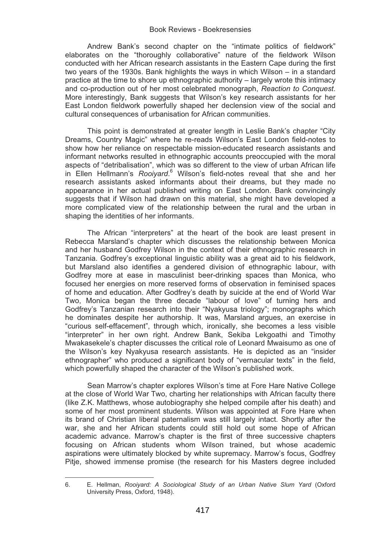Andrew Bank's second chapter on the "intimate politics of fieldwork" elaborates on the "thoroughly collaborative" nature of the fieldwork Wilson conducted with her African research assistants in the Eastern Cape during the first two years of the 1930s. Bank highlights the ways in which Wilson – in a standard practice at the time to shore up ethnographic authority – largely wrote this intimacy and co-production out of her most celebrated monograph, *Reaction to Conquest*. More interestingly, Bank suggests that Wilson's key research assistants for her East London fieldwork powerfully shaped her declension view of the social and cultural consequences of urbanisation for African communities.

This point is demonstrated at greater length in Leslie Bank's chapter "City Dreams, Country Magic" where he re-reads Wilson's East London field-notes to show how her reliance on respectable mission-educated research assistants and informant networks resulted in ethnographic accounts preoccupied with the moral aspects of "detribalisation", which was so different to the view of urban African life in Ellen Hellmann's *Rooiyard*.<sup>6</sup> Wilson's field-notes reveal that she and her research assistants asked informants about their dreams, but they made no appearance in her actual published writing on East London. Bank convincingly suggests that if Wilson had drawn on this material, she might have developed a more complicated view of the relationship between the rural and the urban in shaping the identities of her informants.

The African "interpreters" at the heart of the book are least present in Rebecca Marsland's chapter which discusses the relationship between Monica and her husband Godfrey Wilson in the context of their ethnographic research in Tanzania. Godfrey's exceptional linguistic ability was a great aid to his fieldwork, but Marsland also identifies a gendered division of ethnographic labour, with Godfrey more at ease in masculinist beer-drinking spaces than Monica, who focused her energies on more reserved forms of observation in feminised spaces of home and education. After Godfrey's death by suicide at the end of World War Two, Monica began the three decade "labour of love" of turning hers and Godfrey's Tanzanian research into their "Nyakyusa triology"; monographs which he dominates despite her authorship. It was, Marsland argues, an exercise in "curious self-effacement", through which, ironically, she becomes a less visible "interpreter" in her own right. Andrew Bank, Sekiba Lekgoathi and Timothy Mwakasekele's chapter discusses the critical role of Leonard Mwaisumo as one of the Wilson's key Nyakyusa research assistants. He is depicted as an "insider ethnographer" who produced a significant body of "vernacular texts" in the field, which powerfully shaped the character of the Wilson's published work.

Sean Marrow's chapter explores Wilson's time at Fore Hare Native College at the close of World War Two, charting her relationships with African faculty there (like Z.K. Matthews, whose autobiography she helped compile after his death) and some of her most prominent students. Wilson was appointed at Fore Hare when its brand of Christian liberal paternalism was still largely intact. Shortly after the war, she and her African students could still hold out some hope of African academic advance. Marrow's chapter is the first of three successive chapters focusing on African students whom Wilson trained, but whose academic aspirations were ultimately blocked by white supremacy. Marrow's focus, Godfrey Pitje, showed immense promise (the research for his Masters degree included

 $\overline{a}$ 

<sup>6.</sup> E. Hellman, *Rooiyard: A Sociological Study of an Urban Native Slum Yard* (Oxford University Press, Oxford, 1948).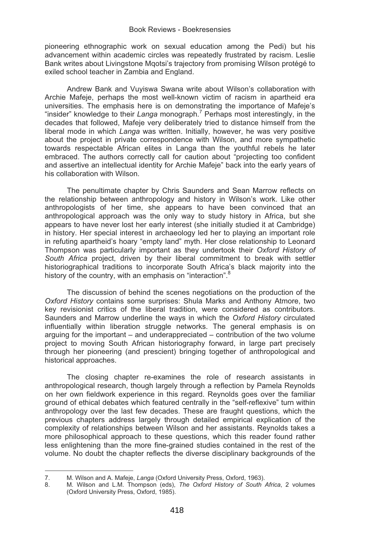pioneering ethnographic work on sexual education among the Pedi) but his advancement within academic circles was repeatedly frustrated by racism. Leslie Bank writes about Livingstone Mqotsi's trajectory from promising Wilson protégé to exiled school teacher in Zambia and England.

Andrew Bank and Vuyiswa Swana write about Wilson's collaboration with Archie Mafeje, perhaps the most well-known victim of racism in apartheid era universities. The emphasis here is on demonstrating the importance of Mafeje's "insider" knowledge to their *Langa* monograph.<sup>7</sup> Perhaps most interestingly, in the decades that followed, Mafeje very deliberately tried to distance himself from the liberal mode in which *Langa* was written. Initially, however, he was very positive about the project in private correspondence with Wilson, and more sympathetic towards respectable African elites in Langa than the youthful rebels he later embraced. The authors correctly call for caution about "projecting too confident and assertive an intellectual identity for Archie Mafeje" back into the early years of his collaboration with Wilson.

The penultimate chapter by Chris Saunders and Sean Marrow reflects on the relationship between anthropology and history in Wilson's work. Like other anthropologists of her time, she appears to have been convinced that an anthropological approach was the only way to study history in Africa, but she appears to have never lost her early interest (she initially studied it at Cambridge) in history. Her special interest in archaeology led her to playing an important role in refuting apartheid's hoary "empty land" myth. Her close relationship to Leonard Thompson was particularly important as they undertook their *Oxford History of South Africa* project, driven by their liberal commitment to break with settler historiographical traditions to incorporate South Africa's black majority into the history of the country, with an emphasis on "interaction".<sup>8</sup>

The discussion of behind the scenes negotiations on the production of the *Oxford History* contains some surprises: Shula Marks and Anthony Atmore, two key revisionist critics of the liberal tradition, were considered as contributors. Saunders and Marrow underline the ways in which the *Oxford History* circulated influentially within liberation struggle networks. The general emphasis is on arguing for the important – and underappreciated – contribution of the two volume project to moving South African historiography forward, in large part precisely through her pioneering (and prescient) bringing together of anthropological and historical approaches.

The closing chapter re-examines the role of research assistants in anthropological research, though largely through a reflection by Pamela Reynolds on her own fieldwork experience in this regard. Reynolds goes over the familiar ground of ethical debates which featured centrally in the "self-reflexive" turn within anthropology over the last few decades. These are fraught questions, which the previous chapters address largely through detailed empirical explication of the complexity of relationships between Wilson and her assistants. Reynolds takes a more philosophical approach to these questions, which this reader found rather less enlightening than the more fine-grained studies contained in the rest of the volume. No doubt the chapter reflects the diverse disciplinary backgrounds of the

 $\overline{a}$ 

<sup>7.</sup> M. Wilson and A. Mafeje, *Langa* (Oxford University Press, Oxford, 1963).

<sup>8.</sup> M. Wilson and L.M. Thompson (eds), *The Oxford History of South Africa*, 2 volumes (Oxford University Press, Oxford, 1985).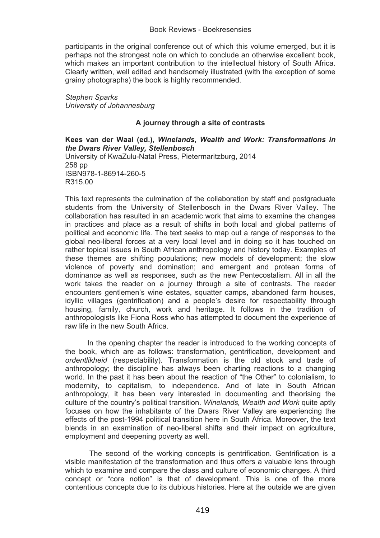participants in the original conference out of which this volume emerged, but it is perhaps not the strongest note on which to conclude an otherwise excellent book, which makes an important contribution to the intellectual history of South Africa. Clearly written, well edited and handsomely illustrated (with the exception of some grainy photographs) the book is highly recommended.

*Stephen Sparks University of Johannesburg* 

# **A journey through a site of contrasts**

# **Kees van der Waal (ed.)**, *Winelands, Wealth and Work: Transformations in the Dwars River Valley, Stellenbosch*

University of KwaZulu-Natal Press, Pietermaritzburg, 2014 258 pp ISBN978-1-86914-260-5 R315.00

This text represents the culmination of the collaboration by staff and postgraduate students from the University of Stellenbosch in the Dwars River Valley. The collaboration has resulted in an academic work that aims to examine the changes in practices and place as a result of shifts in both local and global patterns of political and economic life. The text seeks to map out a range of responses to the global neo-liberal forces at a very local level and in doing so it has touched on rather topical issues in South African anthropology and history today. Examples of these themes are shifting populations; new models of development; the slow violence of poverty and domination; and emergent and protean forms of dominance as well as responses, such as the new Pentecostalism. All in all the work takes the reader on a journey through a site of contrasts. The reader encounters gentlemen's wine estates, squatter camps, abandoned farm houses, idyllic villages (gentrification) and a people's desire for respectability through housing, family, church, work and heritage. It follows in the tradition of anthropologists like Fiona Ross who has attempted to document the experience of raw life in the new South Africa.

In the opening chapter the reader is introduced to the working concepts of the book, which are as follows: transformation, gentrification, development and *ordentlikheid* (respectability). Transformation is the old stock and trade of anthropology; the discipline has always been charting reactions to a changing world. In the past it has been about the reaction of "the Other" to colonialism, to modernity, to capitalism, to independence. And of late in South African anthropology, it has been very interested in documenting and theorising the culture of the country's political transition. *Winelands, Wealth and Work* quite aptly focuses on how the inhabitants of the Dwars River Valley are experiencing the effects of the post-1994 political transition here in South Africa. Moreover, the text blends in an examination of neo-liberal shifts and their impact on agriculture, employment and deepening poverty as well.

 The second of the working concepts is gentrification. Gentrification is a visible manifestation of the transformation and thus offers a valuable lens through which to examine and compare the class and culture of economic changes. A third concept or "core notion" is that of development. This is one of the more contentious concepts due to its dubious histories. Here at the outside we are given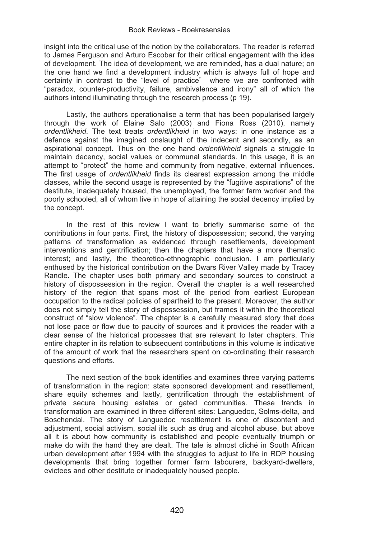insight into the critical use of the notion by the collaborators. The reader is referred to James Ferguson and Arturo Escobar for their critical engagement with the idea of development. The idea of development, we are reminded, has a dual nature; on the one hand we find a development industry which is always full of hope and certainty in contrast to the "level of practice" where we are confronted with "paradox, counter-productivity, failure, ambivalence and irony" all of which the authors intend illuminating through the research process (p 19).

Lastly, the authors operationalise a term that has been popularised largely through the work of Elaine Salo (2003) and Fiona Ross (2010), namely *ordentlikheid*. The text treats *ordentlikheid* in two ways: in one instance as a defence against the imagined onslaught of the indecent and secondly, as an aspirational concept. Thus on the one hand *ordentlikheid* signals a struggle to maintain decency, social values or communal standards. In this usage, it is an attempt to "protect" the home and community from negative, external influences. The first usage of *ordentlikheid* finds its clearest expression among the middle classes, while the second usage is represented by the "fugitive aspirations" of the destitute, inadequately housed, the unemployed, the former farm worker and the poorly schooled, all of whom live in hope of attaining the social decency implied by the concept.

In the rest of this review I want to briefly summarise some of the contributions in four parts. First, the history of dispossession; second, the varying patterns of transformation as evidenced through resettlements, development interventions and gentrification; then the chapters that have a more thematic interest; and lastly, the theoretico-ethnographic conclusion. I am particularly enthused by the historical contribution on the Dwars River Valley made by Tracey Randle. The chapter uses both primary and secondary sources to construct a history of dispossession in the region. Overall the chapter is a well researched history of the region that spans most of the period from earliest European occupation to the radical policies of apartheid to the present. Moreover, the author does not simply tell the story of dispossession, but frames it within the theoretical construct of "slow violence". The chapter is a carefully measured story that does not lose pace or flow due to paucity of sources and it provides the reader with a clear sense of the historical processes that are relevant to later chapters. This entire chapter in its relation to subsequent contributions in this volume is indicative of the amount of work that the researchers spent on co-ordinating their research questions and efforts.

The next section of the book identifies and examines three varying patterns of transformation in the region: state sponsored development and resettlement, share equity schemes and lastly, gentrification through the establishment of private secure housing estates or gated communities. These trends in transformation are examined in three different sites: Languedoc, Solms-delta, and Boschendal. The story of Languedoc resettlement is one of discontent and adjustment, social activism, social ills such as drug and alcohol abuse, but above all it is about how community is established and people eventually triumph or make do with the hand they are dealt. The tale is almost cliché in South African urban development after 1994 with the struggles to adjust to life in RDP housing developments that bring together former farm labourers, backyard-dwellers, evictees and other destitute or inadequately housed people.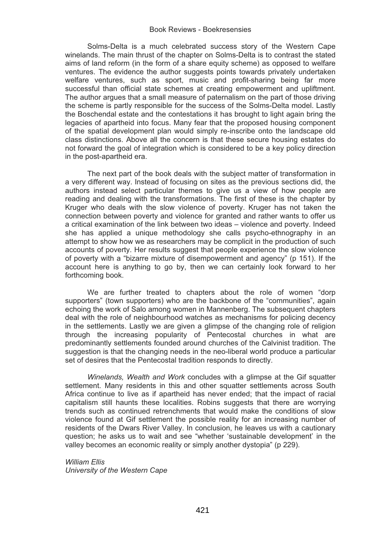Solms-Delta is a much celebrated success story of the Western Cape winelands. The main thrust of the chapter on Solms-Delta is to contrast the stated aims of land reform (in the form of a share equity scheme) as opposed to welfare ventures. The evidence the author suggests points towards privately undertaken welfare ventures, such as sport, music and profit-sharing being far more successful than official state schemes at creating empowerment and upliftment. The author argues that a small measure of paternalism on the part of those driving the scheme is partly responsible for the success of the Solms-Delta model. Lastly the Boschendal estate and the contestations it has brought to light again bring the legacies of apartheid into focus. Many fear that the proposed housing component of the spatial development plan would simply re-inscribe onto the landscape old class distinctions. Above all the concern is that these secure housing estates do not forward the goal of integration which is considered to be a key policy direction in the post-apartheid era.

The next part of the book deals with the subject matter of transformation in a very different way. Instead of focusing on sites as the previous sections did, the authors instead select particular themes to give us a view of how people are reading and dealing with the transformations. The first of these is the chapter by Kruger who deals with the slow violence of poverty. Kruger has not taken the connection between poverty and violence for granted and rather wants to offer us a critical examination of the link between two ideas – violence and poverty. Indeed she has applied a unique methodology she calls psycho-ethnography in an attempt to show how we as researchers may be complicit in the production of such accounts of poverty. Her results suggest that people experience the slow violence of poverty with a "bizarre mixture of disempowerment and agency" (p 151). If the account here is anything to go by, then we can certainly look forward to her forthcoming book.

We are further treated to chapters about the role of women "dorp supporters" (town supporters) who are the backbone of the "communities", again echoing the work of Salo among women in Mannenberg. The subsequent chapters deal with the role of neighbourhood watches as mechanisms for policing decency in the settlements. Lastly we are given a glimpse of the changing role of religion through the increasing popularity of Pentecostal churches in what are predominantly settlements founded around churches of the Calvinist tradition. The suggestion is that the changing needs in the neo-liberal world produce a particular set of desires that the Pentecostal tradition responds to directly.

*Winelands, Wealth and Work* concludes with a glimpse at the Gif squatter settlement. Many residents in this and other squatter settlements across South Africa continue to live as if apartheid has never ended; that the impact of racial capitalism still haunts these localities. Robins suggests that there are worrying trends such as continued retrenchments that would make the conditions of slow violence found at Gif settlement the possible reality for an increasing number of residents of the Dwars River Valley. In conclusion, he leaves us with a cautionary question; he asks us to wait and see "whether 'sustainable development' in the valley becomes an economic reality or simply another dystopia" (p 229).

*William Ellis University of the Western Cape*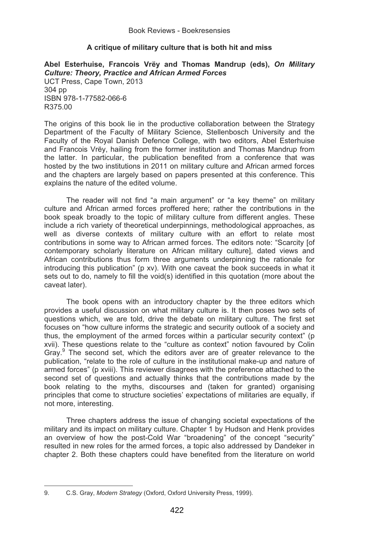# **A critique of military culture that is both hit and miss**

**Abel Esterhuise, Francois Vrëy and Thomas Mandrup (eds),** *On Military Culture: Theory, Practice and African Armed Forces*  UCT Press, Cape Town, 2013 304 pp

ISBN 978-1-77582-066-6 R375.00

The origins of this book lie in the productive collaboration between the Strategy Department of the Faculty of Military Science, Stellenbosch University and the Faculty of the Royal Danish Defence College, with two editors, Abel Esterhuise and Francois Vrëy, hailing from the former institution and Thomas Mandrup from the latter. In particular, the publication benefited from a conference that was hosted by the two institutions in 2011 on military culture and African armed forces and the chapters are largely based on papers presented at this conference. This explains the nature of the edited volume.

The reader will not find "a main argument" or "a key theme" on military culture and African armed forces proffered here; rather the contributions in the book speak broadly to the topic of military culture from different angles. These include a rich variety of theoretical underpinnings, methodological approaches, as well as diverse contexts of military culture with an effort to relate most contributions in some way to African armed forces. The editors note: "Scarcity [of contemporary scholarly literature on African military culture], dated views and African contributions thus form three arguments underpinning the rationale for introducing this publication" (p xv). With one caveat the book succeeds in what it sets out to do, namely to fill the void(s) identified in this quotation (more about the caveat later).

The book opens with an introductory chapter by the three editors which provides a useful discussion on what military culture is. It then poses two sets of questions which, we are told, drive the debate on military culture. The first set focuses on "how culture informs the strategic and security outlook of a society and thus, the employment of the armed forces within a particular security context" (p xvii). These questions relate to the "culture as context" notion favoured by Colin Gray.<sup>9</sup> The second set, which the editors aver are of greater relevance to the publication, "relate to the role of culture in the institutional make-up and nature of armed forces" (p xviii). This reviewer disagrees with the preference attached to the second set of questions and actually thinks that the contributions made by the book relating to the myths, discourses and (taken for granted) organising principles that come to structure societies' expectations of militaries are equally, if not more, interesting.

Three chapters address the issue of changing societal expectations of the military and its impact on military culture. Chapter 1 by Hudson and Henk provides an overview of how the post-Cold War "broadening" of the concept "security" resulted in new roles for the armed forces, a topic also addressed by Dandeker in chapter 2. Both these chapters could have benefited from the literature on world

֦

<sup>9.</sup> C.S. Gray, *Modern Strategy* (Oxford, Oxford University Press, 1999).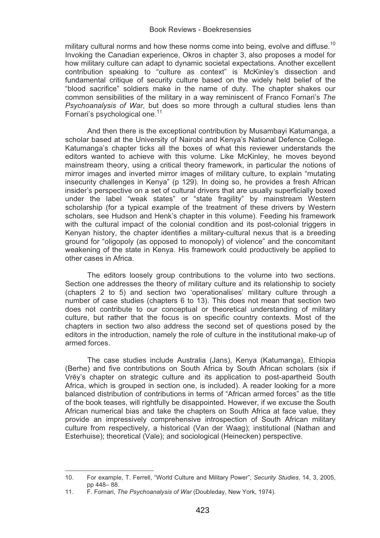military cultural norms and how these norms come into being, evolve and diffuse.<sup>10</sup> Invoking the Canadian experience, Okros in chapter 3, also proposes a model for how military culture can adapt to dynamic societal expectations. Another excellent contribution speaking to "culture as context" is McKinley's dissection and fundamental critique of security culture based on the widely held belief of the "blood sacrifice" soldiers make in the name of duty. The chapter shakes our common sensibilities of the military in a way reminiscent of Franco Fornari's *The Psychoanalysis of War*, but does so more through a cultural studies lens than Fornari's psychological one.<sup>11</sup>

And then there is the exceptional contribution by Musambayi Katumanga, a scholar based at the University of Nairobi and Kenya's National Defence College. Katumanga's chapter ticks all the boxes of what this reviewer understands the editors wanted to achieve with this volume. Like McKinley, he moves beyond mainstream theory, using a critical theory framework, in particular the notions of mirror images and inverted mirror images of military culture, to explain "mutating insecurity challenges in Kenya" (p 129). In doing so, he provides a fresh African insider's perspective on a set of cultural drivers that are usually superficially boxed under the label "weak states" or "state fragility" by mainstream Western scholarship (for a typical example of the treatment of these drivers by Western scholars, see Hudson and Henk's chapter in this volume). Feeding his framework with the cultural impact of the colonial condition and its post-colonial triggers in Kenyan history, the chapter identifies a military-cultural nexus that is a breeding ground for "oligopoly (as opposed to monopoly) of violence" and the concomitant weakening of the state in Kenya. His framework could productively be applied to other cases in Africa.

The editors loosely group contributions to the volume into two sections. Section one addresses the theory of military culture and its relationship to society (chapters 2 to 5) and section two 'operationalises' military culture through a number of case studies (chapters 6 to 13). This does not mean that section two does not contribute to our conceptual or theoretical understanding of military culture, but rather that the focus is on specific country contexts. Most of the chapters in section two also address the second set of questions posed by the editors in the introduction, namely the role of culture in the institutional make-up of armed forces.

The case studies include Australia (Jans), Kenya (Katumanga), Ethiopia (Berhe) and five contributions on South Africa by South African scholars (six if Vrëy's chapter on strategic culture and its application to post-apartheid South Africa, which is grouped in section one, is included). A reader looking for a more balanced distribution of contributions in terms of "African armed forces" as the title of the book teases, will rightfully be disappointed. However, if we excuse the South African numerical bias and take the chapters on South Africa at face value, they provide an impressively comprehensive introspection of South African military culture from respectively, a historical (Van der Waag); institutional (Nathan and Esterhuise); theoretical (Vale); and sociological (Heinecken) perspective.

 $\overline{a}$ 

<sup>10.</sup> For example, T. Ferrell, "World Culture and Military Power", *Security Studies*, 14, 3, 2005, pp 448– 88.

<sup>11.</sup> F. Fornari, *The Psychoanalysis of War* (Doubleday, New York, 1974).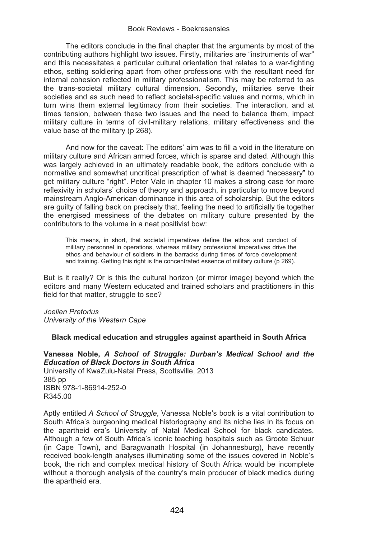The editors conclude in the final chapter that the arguments by most of the contributing authors highlight two issues. Firstly, militaries are "instruments of war" and this necessitates a particular cultural orientation that relates to a war-fighting ethos, setting soldiering apart from other professions with the resultant need for internal cohesion reflected in military professionalism. This may be referred to as the trans-societal military cultural dimension. Secondly, militaries serve their societies and as such need to reflect societal-specific values and norms, which in turn wins them external legitimacy from their societies. The interaction, and at times tension, between these two issues and the need to balance them, impact military culture in terms of civil-military relations, military effectiveness and the value base of the military (p 268).

And now for the caveat: The editors' aim was to fill a void in the literature on military culture and African armed forces, which is sparse and dated. Although this was largely achieved in an ultimately readable book, the editors conclude with a normative and somewhat uncritical prescription of what is deemed "necessary" to get military culture "right". Peter Vale in chapter 10 makes a strong case for more reflexivity in scholars' choice of theory and approach, in particular to move beyond mainstream Anglo-American dominance in this area of scholarship. But the editors are guilty of falling back on precisely that, feeling the need to artificially tie together the energised messiness of the debates on military culture presented by the contributors to the volume in a neat positivist bow:

This means, in short, that societal imperatives define the ethos and conduct of military personnel in operations, whereas military professional imperatives drive the ethos and behaviour of soldiers in the barracks during times of force development and training. Getting this right is the concentrated essence of military culture (p 269).

But is it really? Or is this the cultural horizon (or mirror image) beyond which the editors and many Western educated and trained scholars and practitioners in this field for that matter, struggle to see?

*Joelien Pretorius* 

*University of the Western Cape*

# **Black medical education and struggles against apartheid in South Africa**

**Vanessa Noble,** *A School of Struggle: Durban's Medical School and the Education of Black Doctors in South Africa* University of KwaZulu-Natal Press, Scottsville, 2013 385 pp ISBN 978-1-86914-252-0 R345.00

Aptly entitled *A School of Struggle*, Vanessa Noble's book is a vital contribution to South Africa's burgeoning medical historiography and its niche lies in its focus on the apartheid era's University of Natal Medical School for black candidates. Although a few of South Africa's iconic teaching hospitals such as Groote Schuur (in Cape Town), and Baragwanath Hospital (in Johannesburg), have recently received book-length analyses illuminating some of the issues covered in Noble's book, the rich and complex medical history of South Africa would be incomplete without a thorough analysis of the country's main producer of black medics during the apartheid era.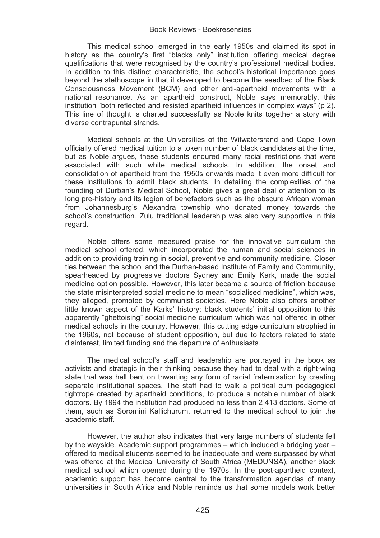This medical school emerged in the early 1950s and claimed its spot in history as the country's first "blacks only" institution offering medical degree qualifications that were recognised by the country's professional medical bodies. In addition to this distinct characteristic, the school's historical importance goes beyond the stethoscope in that it developed to become the seedbed of the Black Consciousness Movement (BCM) and other anti-apartheid movements with a national resonance. As an apartheid construct, Noble says memorably, this institution "both reflected and resisted apartheid influences in complex ways" (p 2). This line of thought is charted successfully as Noble knits together a story with diverse contrapuntal strands.

Medical schools at the Universities of the Witwatersrand and Cape Town officially offered medical tuition to a token number of black candidates at the time, but as Noble argues, these students endured many racial restrictions that were associated with such white medical schools. In addition, the onset and consolidation of apartheid from the 1950s onwards made it even more difficult for these institutions to admit black students. In detailing the complexities of the founding of Durban's Medical School, Noble gives a great deal of attention to its long pre-history and its legion of benefactors such as the obscure African woman from Johannesburg's Alexandra township who donated money towards the school's construction. Zulu traditional leadership was also very supportive in this regard.

Noble offers some measured praise for the innovative curriculum the medical school offered, which incorporated the human and social sciences in addition to providing training in social, preventive and community medicine. Closer ties between the school and the Durban-based Institute of Family and Community, spearheaded by progressive doctors Sydney and Emily Kark, made the social medicine option possible. However, this later became a source of friction because the state misinterpreted social medicine to mean "socialised medicine", which was, they alleged, promoted by communist societies. Here Noble also offers another little known aspect of the Karks' history: black students' initial opposition to this apparently "ghettoising" social medicine curriculum which was not offered in other medical schools in the country. However, this cutting edge curriculum atrophied in the 1960s, not because of student opposition, but due to factors related to state disinterest, limited funding and the departure of enthusiasts.

The medical school's staff and leadership are portrayed in the book as activists and strategic in their thinking because they had to deal with a right-wing state that was hell bent on thwarting any form of racial fraternisation by creating separate institutional spaces. The staff had to walk a political cum pedagogical tightrope created by apartheid conditions, to produce a notable number of black doctors. By 1994 the institution had produced no less than 2 413 doctors. Some of them, such as Soromini Kallichurum, returned to the medical school to join the academic staff.

However, the author also indicates that very large numbers of students fell by the wayside. Academic support programmes – which included a bridging year – offered to medical students seemed to be inadequate and were surpassed by what was offered at the Medical University of South Africa (MEDUNSA), another black medical school which opened during the 1970s. In the post-apartheid context, academic support has become central to the transformation agendas of many universities in South Africa and Noble reminds us that some models work better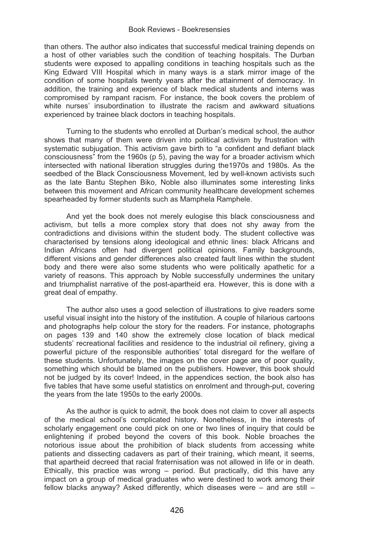than others. The author also indicates that successful medical training depends on a host of other variables such the condition of teaching hospitals. The Durban students were exposed to appalling conditions in teaching hospitals such as the King Edward VIII Hospital which in many ways is a stark mirror image of the condition of some hospitals twenty years after the attainment of democracy. In addition, the training and experience of black medical students and interns was compromised by rampant racism. For instance, the book covers the problem of white nurses' insubordination to illustrate the racism and awkward situations experienced by trainee black doctors in teaching hospitals.

Turning to the students who enrolled at Durban's medical school, the author shows that many of them were driven into political activism by frustration with systematic subjugation. This activism gave birth to "a confident and defiant black consciousness" from the 1960s (p 5), paving the way for a broader activism which intersected with national liberation struggles during the1970s and 1980s. As the seedbed of the Black Consciousness Movement, led by well-known activists such as the late Bantu Stephen Biko, Noble also illuminates some interesting links between this movement and African community healthcare development schemes spearheaded by former students such as Mamphela Ramphele.

And yet the book does not merely eulogise this black consciousness and activism, but tells a more complex story that does not shy away from the contradictions and divisions within the student body. The student collective was characterised by tensions along ideological and ethnic lines: black Africans and Indian Africans often had divergent political opinions. Family backgrounds, different visions and gender differences also created fault lines within the student body and there were also some students who were politically apathetic for a variety of reasons. This approach by Noble successfully undermines the unitary and triumphalist narrative of the post-apartheid era. However, this is done with a great deal of empathy.

The author also uses a good selection of illustrations to give readers some useful visual insight into the history of the institution. A couple of hilarious cartoons and photographs help colour the story for the readers. For instance, photographs on pages 139 and 140 show the extremely close location of black medical students' recreational facilities and residence to the industrial oil refinery, giving a powerful picture of the responsible authorities' total disregard for the welfare of these students. Unfortunately, the images on the cover page are of poor quality, something which should be blamed on the publishers. However, this book should not be judged by its cover! Indeed, in the appendices section, the book also has five tables that have some useful statistics on enrolment and through-put, covering the years from the late 1950s to the early 2000s.

As the author is quick to admit, the book does not claim to cover all aspects of the medical school's complicated history. Nonetheless, in the interests of scholarly engagement one could pick on one or two lines of inquiry that could be enlightening if probed beyond the covers of this book. Noble broaches the notorious issue about the prohibition of black students from accessing white patients and dissecting cadavers as part of their training, which meant, it seems, that apartheid decreed that racial fraternisation was not allowed in life or in death. Ethically, this practice was wrong – period. But practically, did this have any impact on a group of medical graduates who were destined to work among their fellow blacks anyway? Asked differently, which diseases were – and are still –